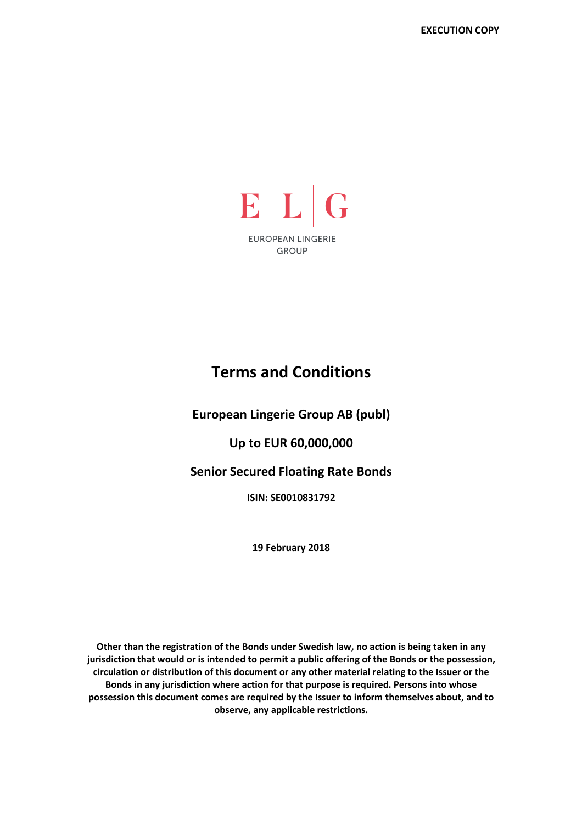

# **Terms and Conditions**

**European Lingerie Group AB (publ)** 

# **Up to EUR 60,000,000**

**Senior Secured Floating Rate Bonds** 

**ISIN: SE0010831792** 

**19 February 2018** 

**Other than the registration of the Bonds under Swedish law, no action is being taken in any jurisdiction that would or is intended to permit a public offering of the Bonds or the possession, circulation or distribution of this document or any other material relating to the Issuer or the Bonds in any jurisdiction where action for that purpose is required. Persons into whose possession this document comes are required by the Issuer to inform themselves about, and to observe, any applicable restrictions.**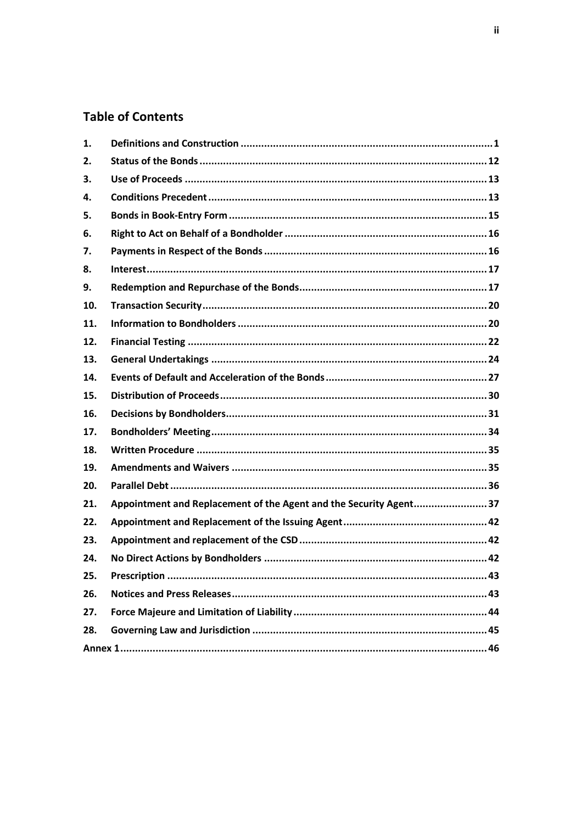# **Table of Contents**

| $\mathbf{1}$ . |                                                                   |
|----------------|-------------------------------------------------------------------|
| 2.             |                                                                   |
| 3.             |                                                                   |
| 4.             |                                                                   |
| 5.             |                                                                   |
| 6.             |                                                                   |
| 7.             |                                                                   |
| 8.             |                                                                   |
| 9.             |                                                                   |
| 10.            |                                                                   |
| 11.            |                                                                   |
| 12.            |                                                                   |
| 13.            |                                                                   |
| 14.            |                                                                   |
| 15.            |                                                                   |
| 16.            |                                                                   |
| 17.            |                                                                   |
| 18.            |                                                                   |
| 19.            |                                                                   |
| 20.            |                                                                   |
| 21.            | Appointment and Replacement of the Agent and the Security Agent37 |
| 22.            |                                                                   |
| 23.            |                                                                   |
| 24.            |                                                                   |
| 25.            | Prescription<br>.43                                               |
| 26.            |                                                                   |
| 27.            |                                                                   |
| 28.            |                                                                   |
|                |                                                                   |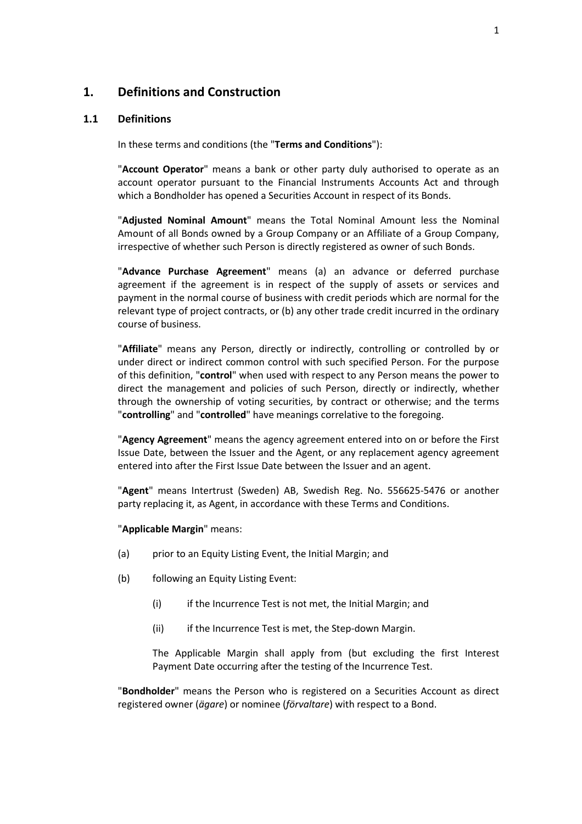## **1. Definitions and Construction**

#### **1.1 Definitions**

In these terms and conditions (the "**Terms and Conditions**"):

"**Account Operator**" means a bank or other party duly authorised to operate as an account operator pursuant to the Financial Instruments Accounts Act and through which a Bondholder has opened a Securities Account in respect of its Bonds.

"**Adjusted Nominal Amount**" means the Total Nominal Amount less the Nominal Amount of all Bonds owned by a Group Company or an Affiliate of a Group Company, irrespective of whether such Person is directly registered as owner of such Bonds.

"**Advance Purchase Agreement**" means (a) an advance or deferred purchase agreement if the agreement is in respect of the supply of assets or services and payment in the normal course of business with credit periods which are normal for the relevant type of project contracts, or (b) any other trade credit incurred in the ordinary course of business.

"**Affiliate**" means any Person, directly or indirectly, controlling or controlled by or under direct or indirect common control with such specified Person. For the purpose of this definition, "**control**" when used with respect to any Person means the power to direct the management and policies of such Person, directly or indirectly, whether through the ownership of voting securities, by contract or otherwise; and the terms "**controlling**" and "**controlled**" have meanings correlative to the foregoing.

"**Agency Agreement**" means the agency agreement entered into on or before the First Issue Date, between the Issuer and the Agent, or any replacement agency agreement entered into after the First Issue Date between the Issuer and an agent.

"**Agent**" means Intertrust (Sweden) AB, Swedish Reg. No. 556625-5476 or another party replacing it, as Agent, in accordance with these Terms and Conditions.

#### "**Applicable Margin**" means:

- (a) prior to an Equity Listing Event, the Initial Margin; and
- (b) following an Equity Listing Event:
	- (i) if the Incurrence Test is not met, the Initial Margin; and
	- (ii) if the Incurrence Test is met, the Step-down Margin.

The Applicable Margin shall apply from (but excluding the first Interest Payment Date occurring after the testing of the Incurrence Test.

"**Bondholder**" means the Person who is registered on a Securities Account as direct registered owner (*ägare*) or nominee (*förvaltare*) with respect to a Bond.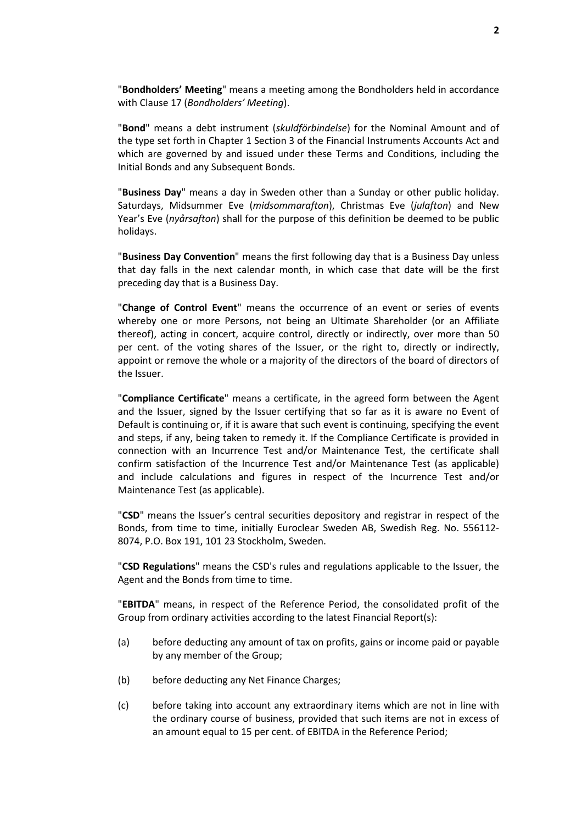"**Bondholders' Meeting**" means a meeting among the Bondholders held in accordance with Clause 17 (*Bondholders' Meeting*).

"**Bond**" means a debt instrument (*skuldförbindelse*) for the Nominal Amount and of the type set forth in Chapter 1 Section 3 of the Financial Instruments Accounts Act and which are governed by and issued under these Terms and Conditions, including the Initial Bonds and any Subsequent Bonds.

"**Business Day**" means a day in Sweden other than a Sunday or other public holiday. Saturdays, Midsummer Eve (*midsommarafton*), Christmas Eve (*julafton*) and New Year's Eve (*nyårsafton*) shall for the purpose of this definition be deemed to be public holidays.

"**Business Day Convention**" means the first following day that is a Business Day unless that day falls in the next calendar month, in which case that date will be the first preceding day that is a Business Day.

"**Change of Control Event**" means the occurrence of an event or series of events whereby one or more Persons, not being an Ultimate Shareholder (or an Affiliate thereof), acting in concert, acquire control, directly or indirectly, over more than 50 per cent. of the voting shares of the Issuer, or the right to, directly or indirectly, appoint or remove the whole or a majority of the directors of the board of directors of the Issuer.

"**Compliance Certificate**" means a certificate, in the agreed form between the Agent and the Issuer, signed by the Issuer certifying that so far as it is aware no Event of Default is continuing or, if it is aware that such event is continuing, specifying the event and steps, if any, being taken to remedy it. If the Compliance Certificate is provided in connection with an Incurrence Test and/or Maintenance Test, the certificate shall confirm satisfaction of the Incurrence Test and/or Maintenance Test (as applicable) and include calculations and figures in respect of the Incurrence Test and/or Maintenance Test (as applicable).

"**CSD**" means the Issuer's central securities depository and registrar in respect of the Bonds, from time to time, initially Euroclear Sweden AB, Swedish Reg. No. 556112- 8074, P.O. Box 191, 101 23 Stockholm, Sweden.

"**CSD Regulations**" means the CSD's rules and regulations applicable to the Issuer, the Agent and the Bonds from time to time.

"**EBITDA**" means, in respect of the Reference Period, the consolidated profit of the Group from ordinary activities according to the latest Financial Report(s):

- (a) before deducting any amount of tax on profits, gains or income paid or payable by any member of the Group;
- (b) before deducting any Net Finance Charges;
- (c) before taking into account any extraordinary items which are not in line with the ordinary course of business, provided that such items are not in excess of an amount equal to 15 per cent. of EBITDA in the Reference Period;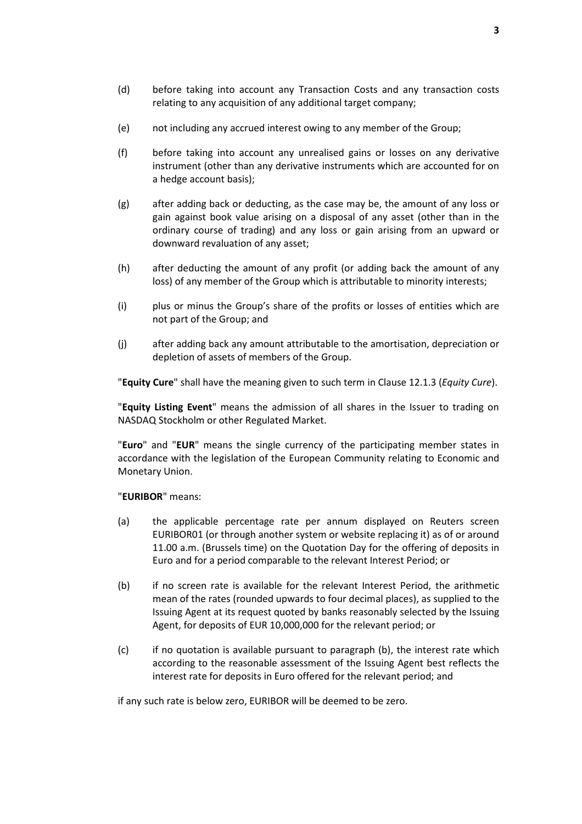- (d) before taking into account any Transaction Costs and any transaction costs relating to any acquisition of any additional target company;
- (e) not including any accrued interest owing to any member of the Group;
- (f) before taking into account any unrealised gains or losses on any derivative instrument (other than any derivative instruments which are accounted for on a hedge account basis);
- (g) after adding back or deducting, as the case may be, the amount of any loss or gain against book value arising on a disposal of any asset (other than in the ordinary course of trading) and any loss or gain arising from an upward or downward revaluation of any asset;
- (h) after deducting the amount of any profit (or adding back the amount of any loss) of any member of the Group which is attributable to minority interests;
- (i) plus or minus the Group's share of the profits or losses of entities which are not part of the Group; and
- (j) after adding back any amount attributable to the amortisation, depreciation or depletion of assets of members of the Group.

"**Equity Cure**" shall have the meaning given to such term in Clause 12.1.3 (*Equity Cure*).

"**Equity Listing Event**" means the admission of all shares in the Issuer to trading on NASDAQ Stockholm or other Regulated Market.

"**Euro**" and "**EUR**" means the single currency of the participating member states in accordance with the legislation of the European Community relating to Economic and Monetary Union.

#### "**EURIBOR**" means:

- (a) the applicable percentage rate per annum displayed on Reuters screen EURIBOR01 (or through another system or website replacing it) as of or around 11.00 a.m. (Brussels time) on the Quotation Day for the offering of deposits in Euro and for a period comparable to the relevant Interest Period; or
- (b) if no screen rate is available for the relevant Interest Period, the arithmetic mean of the rates (rounded upwards to four decimal places), as supplied to the Issuing Agent at its request quoted by banks reasonably selected by the Issuing Agent, for deposits of EUR 10,000,000 for the relevant period; or
- (c) if no quotation is available pursuant to paragraph (b), the interest rate which according to the reasonable assessment of the Issuing Agent best reflects the interest rate for deposits in Euro offered for the relevant period; and

if any such rate is below zero, EURIBOR will be deemed to be zero.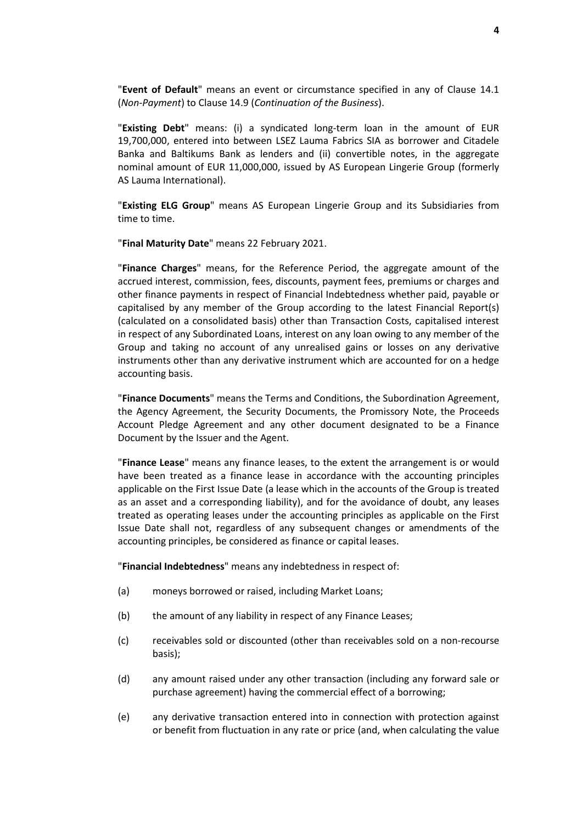"**Event of Default**" means an event or circumstance specified in any of Clause 14.1 (*Non-Payment*) to Clause 14.9 (*Continuation of the Business*).

"**Existing Debt**" means: (i) a syndicated long-term loan in the amount of EUR 19,700,000, entered into between LSEZ Lauma Fabrics SIA as borrower and Citadele Banka and Baltikums Bank as lenders and (ii) convertible notes, in the aggregate nominal amount of EUR 11,000,000, issued by AS European Lingerie Group (formerly AS Lauma International).

"**Existing ELG Group**" means AS European Lingerie Group and its Subsidiaries from time to time.

"**Final Maturity Date**" means 22 February 2021.

"**Finance Charges**" means, for the Reference Period, the aggregate amount of the accrued interest, commission, fees, discounts, payment fees, premiums or charges and other finance payments in respect of Financial Indebtedness whether paid, payable or capitalised by any member of the Group according to the latest Financial Report(s) (calculated on a consolidated basis) other than Transaction Costs, capitalised interest in respect of any Subordinated Loans, interest on any loan owing to any member of the Group and taking no account of any unrealised gains or losses on any derivative instruments other than any derivative instrument which are accounted for on a hedge accounting basis.

"**Finance Documents**" means the Terms and Conditions, the Subordination Agreement, the Agency Agreement, the Security Documents, the Promissory Note, the Proceeds Account Pledge Agreement and any other document designated to be a Finance Document by the Issuer and the Agent.

"**Finance Lease**" means any finance leases, to the extent the arrangement is or would have been treated as a finance lease in accordance with the accounting principles applicable on the First Issue Date (a lease which in the accounts of the Group is treated as an asset and a corresponding liability), and for the avoidance of doubt, any leases treated as operating leases under the accounting principles as applicable on the First Issue Date shall not, regardless of any subsequent changes or amendments of the accounting principles, be considered as finance or capital leases.

"**Financial Indebtedness**" means any indebtedness in respect of:

- (a) moneys borrowed or raised, including Market Loans;
- (b) the amount of any liability in respect of any Finance Leases;
- (c) receivables sold or discounted (other than receivables sold on a non-recourse basis);
- (d) any amount raised under any other transaction (including any forward sale or purchase agreement) having the commercial effect of a borrowing;
- (e) any derivative transaction entered into in connection with protection against or benefit from fluctuation in any rate or price (and, when calculating the value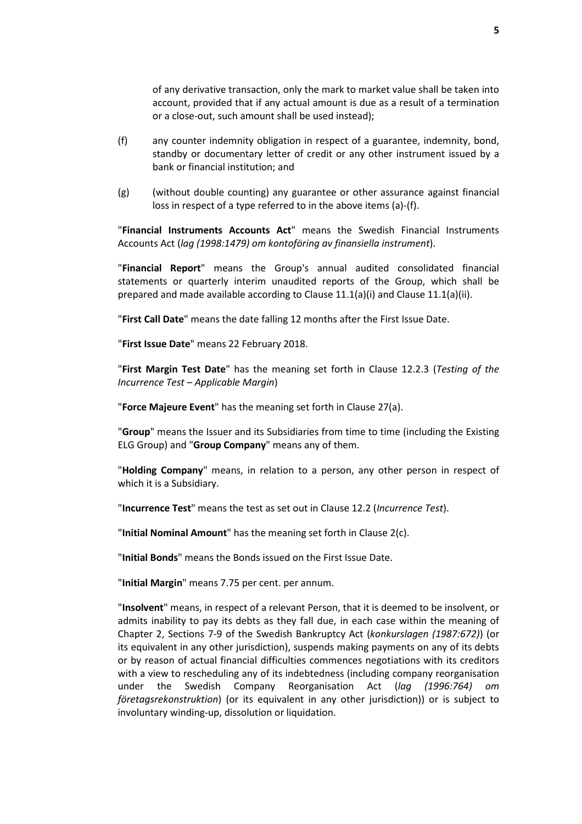of any derivative transaction, only the mark to market value shall be taken into account, provided that if any actual amount is due as a result of a termination or a close-out, such amount shall be used instead);

- (f) any counter indemnity obligation in respect of a guarantee, indemnity, bond, standby or documentary letter of credit or any other instrument issued by a bank or financial institution; and
- (g) (without double counting) any guarantee or other assurance against financial loss in respect of a type referred to in the above items (a)-(f).

"**Financial Instruments Accounts Act**" means the Swedish Financial Instruments Accounts Act (*lag (1998:1479) om kontoföring av finansiella instrument*).

"**Financial Report**" means the Group's annual audited consolidated financial statements or quarterly interim unaudited reports of the Group, which shall be prepared and made available according to Clause 11.1(a)(i) and Clause 11.1(a)(ii).

"**First Call Date**" means the date falling 12 months after the First Issue Date.

"**First Issue Date**" means 22 February 2018.

"**First Margin Test Date**" has the meaning set forth in Clause 12.2.3 (*Testing of the Incurrence Test – Applicable Margin*)

"**Force Majeure Event**" has the meaning set forth in Clause 27(a).

"**Group**" means the Issuer and its Subsidiaries from time to time (including the Existing ELG Group) and "**Group Company**" means any of them.

"**Holding Company**" means, in relation to a person, any other person in respect of which it is a Subsidiary.

"**Incurrence Test**" means the test as set out in Clause 12.2 (*Incurrence Test*).

"**Initial Nominal Amount**" has the meaning set forth in Clause 2(c).

"**Initial Bonds**" means the Bonds issued on the First Issue Date.

"**Initial Margin**" means 7.75 per cent. per annum.

"**Insolvent**" means, in respect of a relevant Person, that it is deemed to be insolvent, or admits inability to pay its debts as they fall due, in each case within the meaning of Chapter 2, Sections 7-9 of the Swedish Bankruptcy Act (*konkurslagen (1987:672)*) (or its equivalent in any other jurisdiction), suspends making payments on any of its debts or by reason of actual financial difficulties commences negotiations with its creditors with a view to rescheduling any of its indebtedness (including company reorganisation under the Swedish Company Reorganisation Act (*lag (1996:764) om företagsrekonstruktion*) (or its equivalent in any other jurisdiction)) or is subject to involuntary winding-up, dissolution or liquidation.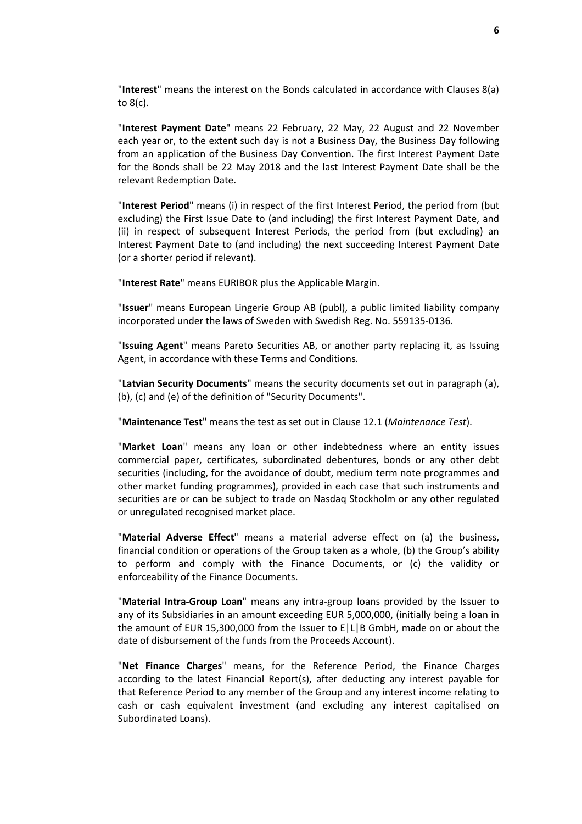"**Interest**" means the interest on the Bonds calculated in accordance with Clauses 8(a) to 8(c).

"**Interest Payment Date**" means 22 February, 22 May, 22 August and 22 November each year or, to the extent such day is not a Business Day, the Business Day following from an application of the Business Day Convention. The first Interest Payment Date for the Bonds shall be 22 May 2018 and the last Interest Payment Date shall be the relevant Redemption Date.

"**Interest Period**" means (i) in respect of the first Interest Period, the period from (but excluding) the First Issue Date to (and including) the first Interest Payment Date, and (ii) in respect of subsequent Interest Periods, the period from (but excluding) an Interest Payment Date to (and including) the next succeeding Interest Payment Date (or a shorter period if relevant).

"**Interest Rate**" means EURIBOR plus the Applicable Margin.

"**Issuer**" means European Lingerie Group AB (publ), a public limited liability company incorporated under the laws of Sweden with Swedish Reg. No. 559135-0136.

"**Issuing Agent**" means Pareto Securities AB, or another party replacing it, as Issuing Agent, in accordance with these Terms and Conditions.

"**Latvian Security Documents**" means the security documents set out in paragraph (a), (b), (c) and (e) of the definition of "Security Documents".

"**Maintenance Test**" means the test as set out in Clause 12.1 (*Maintenance Test*).

"**Market Loan**" means any loan or other indebtedness where an entity issues commercial paper, certificates, subordinated debentures, bonds or any other debt securities (including, for the avoidance of doubt, medium term note programmes and other market funding programmes), provided in each case that such instruments and securities are or can be subject to trade on Nasdaq Stockholm or any other regulated or unregulated recognised market place.

"**Material Adverse Effect**" means a material adverse effect on (a) the business, financial condition or operations of the Group taken as a whole, (b) the Group's ability to perform and comply with the Finance Documents, or (c) the validity or enforceability of the Finance Documents.

"**Material Intra-Group Loan**" means any intra-group loans provided by the Issuer to any of its Subsidiaries in an amount exceeding EUR 5,000,000, (initially being a loan in the amount of EUR 15,300,000 from the Issuer to E|L|B GmbH, made on or about the date of disbursement of the funds from the Proceeds Account).

"**Net Finance Charges**" means, for the Reference Period, the Finance Charges according to the latest Financial Report(s), after deducting any interest payable for that Reference Period to any member of the Group and any interest income relating to cash or cash equivalent investment (and excluding any interest capitalised on Subordinated Loans).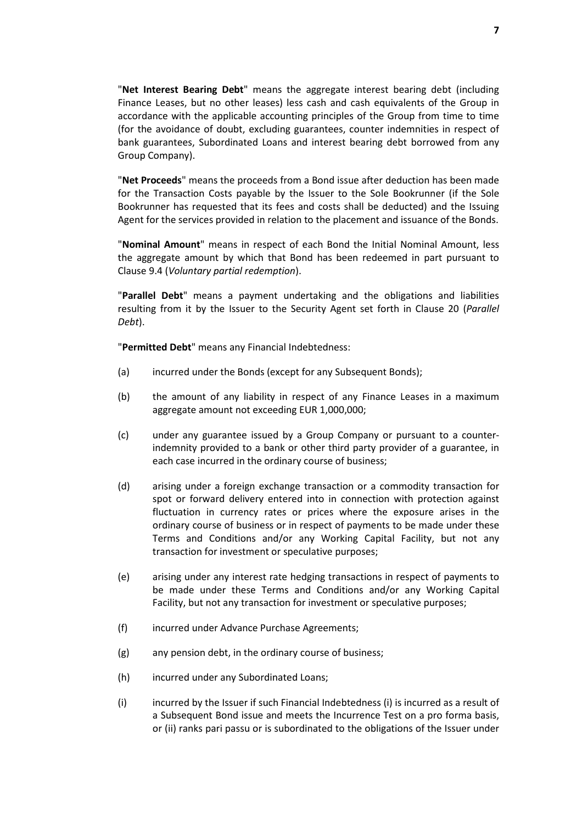"**Net Interest Bearing Debt**" means the aggregate interest bearing debt (including Finance Leases, but no other leases) less cash and cash equivalents of the Group in accordance with the applicable accounting principles of the Group from time to time (for the avoidance of doubt, excluding guarantees, counter indemnities in respect of bank guarantees, Subordinated Loans and interest bearing debt borrowed from any Group Company).

"**Net Proceeds**" means the proceeds from a Bond issue after deduction has been made for the Transaction Costs payable by the Issuer to the Sole Bookrunner (if the Sole Bookrunner has requested that its fees and costs shall be deducted) and the Issuing Agent for the services provided in relation to the placement and issuance of the Bonds.

"**Nominal Amount**" means in respect of each Bond the Initial Nominal Amount, less the aggregate amount by which that Bond has been redeemed in part pursuant to Clause 9.4 (*Voluntary partial redemption*).

"**Parallel Debt**" means a payment undertaking and the obligations and liabilities resulting from it by the Issuer to the Security Agent set forth in Clause 20 (*Parallel Debt*).

"**Permitted Debt**" means any Financial Indebtedness:

- (a) incurred under the Bonds (except for any Subsequent Bonds);
- (b) the amount of any liability in respect of any Finance Leases in a maximum aggregate amount not exceeding EUR 1,000,000;
- (c) under any guarantee issued by a Group Company or pursuant to a counterindemnity provided to a bank or other third party provider of a guarantee, in each case incurred in the ordinary course of business;
- (d) arising under a foreign exchange transaction or a commodity transaction for spot or forward delivery entered into in connection with protection against fluctuation in currency rates or prices where the exposure arises in the ordinary course of business or in respect of payments to be made under these Terms and Conditions and/or any Working Capital Facility, but not any transaction for investment or speculative purposes;
- (e) arising under any interest rate hedging transactions in respect of payments to be made under these Terms and Conditions and/or any Working Capital Facility, but not any transaction for investment or speculative purposes;
- (f) incurred under Advance Purchase Agreements;
- (g) any pension debt, in the ordinary course of business;
- (h) incurred under any Subordinated Loans;
- (i) incurred by the Issuer if such Financial Indebtedness (i) is incurred as a result of a Subsequent Bond issue and meets the Incurrence Test on a pro forma basis, or (ii) ranks pari passu or is subordinated to the obligations of the Issuer under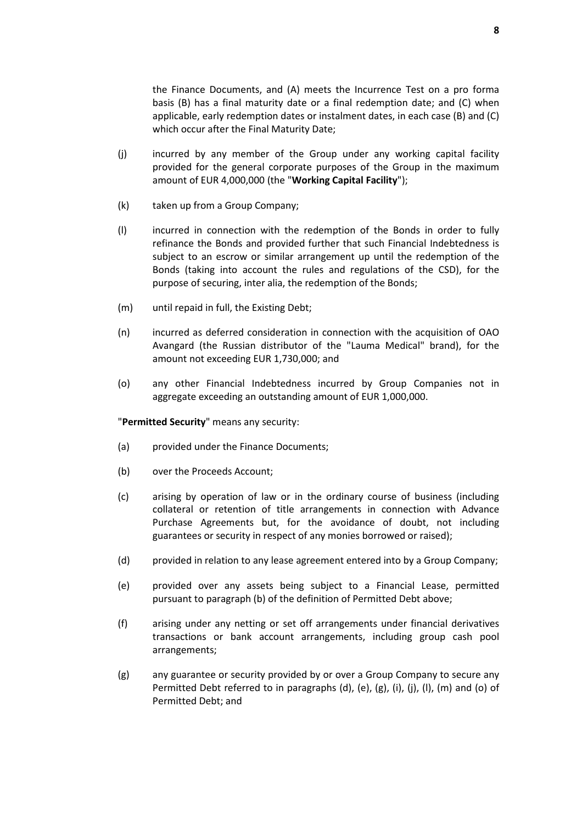the Finance Documents, and (A) meets the Incurrence Test on a pro forma basis (B) has a final maturity date or a final redemption date; and (C) when applicable, early redemption dates or instalment dates, in each case (B) and (C) which occur after the Final Maturity Date;

- (j) incurred by any member of the Group under any working capital facility provided for the general corporate purposes of the Group in the maximum amount of EUR 4,000,000 (the "**Working Capital Facility**");
- (k) taken up from a Group Company;
- (l) incurred in connection with the redemption of the Bonds in order to fully refinance the Bonds and provided further that such Financial Indebtedness is subject to an escrow or similar arrangement up until the redemption of the Bonds (taking into account the rules and regulations of the CSD), for the purpose of securing, inter alia, the redemption of the Bonds;
- (m) until repaid in full, the Existing Debt;
- (n) incurred as deferred consideration in connection with the acquisition of OAO Avangard (the Russian distributor of the "Lauma Medical" brand), for the amount not exceeding EUR 1,730,000; and
- (o) any other Financial Indebtedness incurred by Group Companies not in aggregate exceeding an outstanding amount of EUR 1,000,000.

"**Permitted Security**" means any security:

- (a) provided under the Finance Documents;
- (b) over the Proceeds Account;
- (c) arising by operation of law or in the ordinary course of business (including collateral or retention of title arrangements in connection with Advance Purchase Agreements but, for the avoidance of doubt, not including guarantees or security in respect of any monies borrowed or raised);
- (d) provided in relation to any lease agreement entered into by a Group Company;
- (e) provided over any assets being subject to a Financial Lease, permitted pursuant to paragraph (b) of the definition of Permitted Debt above;
- (f) arising under any netting or set off arrangements under financial derivatives transactions or bank account arrangements, including group cash pool arrangements;
- (g) any guarantee or security provided by or over a Group Company to secure any Permitted Debt referred to in paragraphs (d), (e), (g), (i), (j), (l), (m) and (o) of Permitted Debt; and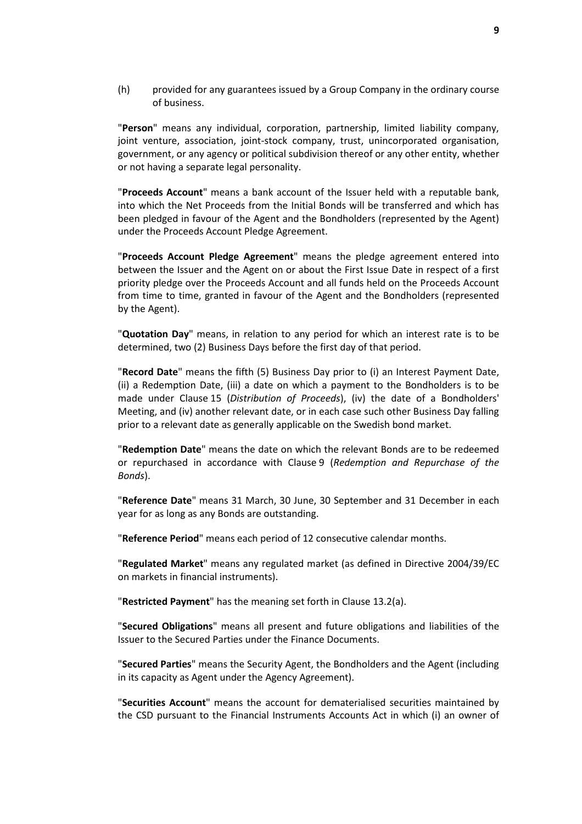(h) provided for any guarantees issued by a Group Company in the ordinary course of business.

"**Person**" means any individual, corporation, partnership, limited liability company, joint venture, association, joint-stock company, trust, unincorporated organisation, government, or any agency or political subdivision thereof or any other entity, whether or not having a separate legal personality.

"**Proceeds Account**" means a bank account of the Issuer held with a reputable bank, into which the Net Proceeds from the Initial Bonds will be transferred and which has been pledged in favour of the Agent and the Bondholders (represented by the Agent) under the Proceeds Account Pledge Agreement.

"**Proceeds Account Pledge Agreement**" means the pledge agreement entered into between the Issuer and the Agent on or about the First Issue Date in respect of a first priority pledge over the Proceeds Account and all funds held on the Proceeds Account from time to time, granted in favour of the Agent and the Bondholders (represented by the Agent).

"**Quotation Day**" means, in relation to any period for which an interest rate is to be determined, two (2) Business Days before the first day of that period.

"**Record Date**" means the fifth (5) Business Day prior to (i) an Interest Payment Date, (ii) a Redemption Date, (iii) a date on which a payment to the Bondholders is to be made under Clause 15 (*Distribution of Proceeds*), (iv) the date of a Bondholders' Meeting, and (iv) another relevant date, or in each case such other Business Day falling prior to a relevant date as generally applicable on the Swedish bond market.

"**Redemption Date**" means the date on which the relevant Bonds are to be redeemed or repurchased in accordance with Clause 9 (*Redemption and Repurchase of the Bonds*).

"**Reference Date**" means 31 March, 30 June, 30 September and 31 December in each year for as long as any Bonds are outstanding.

"**Reference Period**" means each period of 12 consecutive calendar months.

"**Regulated Market**" means any regulated market (as defined in Directive 2004/39/EC on markets in financial instruments).

"**Restricted Payment**" has the meaning set forth in Clause 13.2(a).

"**Secured Obligations**" means all present and future obligations and liabilities of the Issuer to the Secured Parties under the Finance Documents.

"**Secured Parties**" means the Security Agent, the Bondholders and the Agent (including in its capacity as Agent under the Agency Agreement).

"**Securities Account**" means the account for dematerialised securities maintained by the CSD pursuant to the Financial Instruments Accounts Act in which (i) an owner of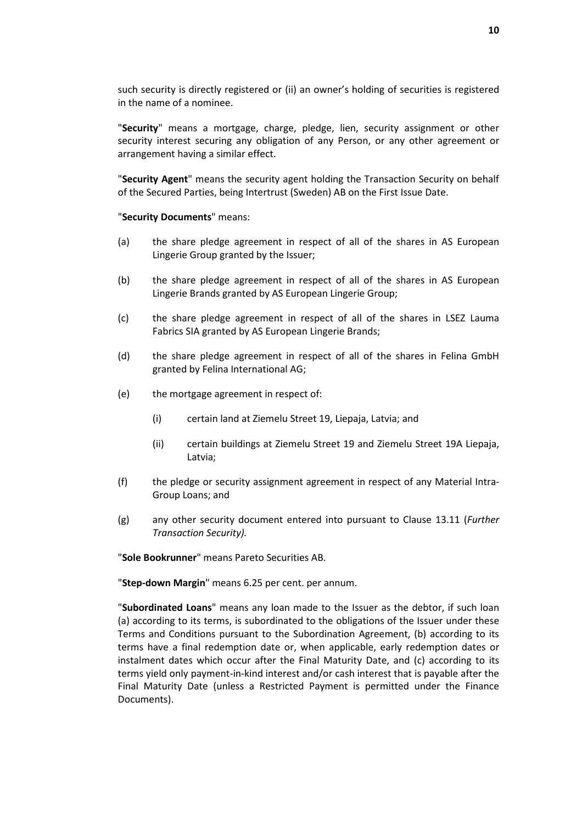such security is directly registered or (ii) an owner's holding of securities is registered in the name of a nominee.

"**Security**" means a mortgage, charge, pledge, lien, security assignment or other security interest securing any obligation of any Person, or any other agreement or arrangement having a similar effect.

"**Security Agent**" means the security agent holding the Transaction Security on behalf of the Secured Parties, being Intertrust (Sweden) AB on the First Issue Date.

#### "**Security Documents**" means:

- (a) the share pledge agreement in respect of all of the shares in AS European Lingerie Group granted by the Issuer;
- (b) the share pledge agreement in respect of all of the shares in AS European Lingerie Brands granted by AS European Lingerie Group;
- (c) the share pledge agreement in respect of all of the shares in LSEZ Lauma Fabrics SIA granted by AS European Lingerie Brands;
- (d) the share pledge agreement in respect of all of the shares in Felina GmbH granted by Felina International AG;
- (e) the mortgage agreement in respect of:
	- (i) certain land at Ziemelu Street 19, Liepaja, Latvia; and
	- (ii) certain buildings at Ziemelu Street 19 and Ziemelu Street 19A Liepaja, Latvia;
- (f) the pledge or security assignment agreement in respect of any Material Intra-Group Loans; and
- (g) any other security document entered into pursuant to Clause 13.11 (*Further Transaction Security).*

"**Sole Bookrunner**" means Pareto Securities AB.

"**Step-down Margin**" means 6.25 per cent. per annum.

"**Subordinated Loans**" means any loan made to the Issuer as the debtor, if such loan (a) according to its terms, is subordinated to the obligations of the Issuer under these Terms and Conditions pursuant to the Subordination Agreement, (b) according to its terms have a final redemption date or, when applicable, early redemption dates or instalment dates which occur after the Final Maturity Date, and (c) according to its terms yield only payment-in-kind interest and/or cash interest that is payable after the Final Maturity Date (unless a Restricted Payment is permitted under the Finance Documents).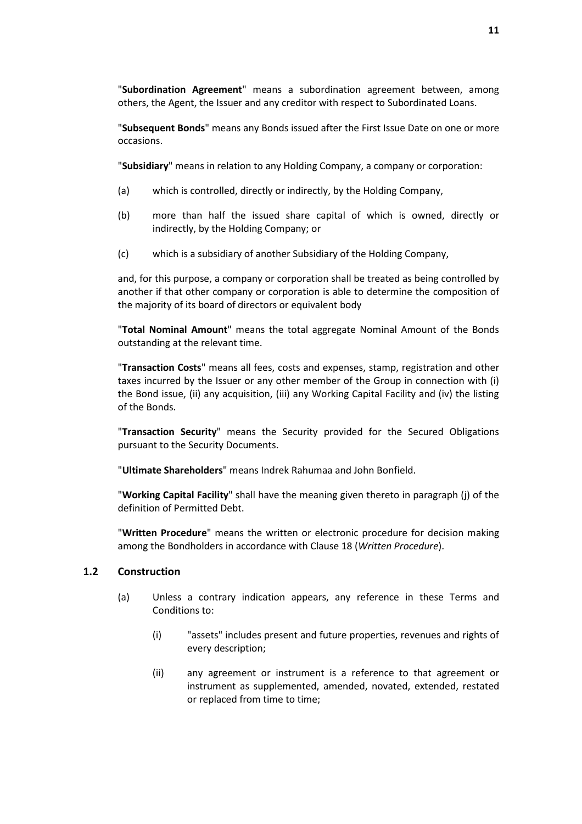"**Subordination Agreement**" means a subordination agreement between, among others, the Agent, the Issuer and any creditor with respect to Subordinated Loans.

"**Subsequent Bonds**" means any Bonds issued after the First Issue Date on one or more occasions.

"**Subsidiary**" means in relation to any Holding Company, a company or corporation:

- (a) which is controlled, directly or indirectly, by the Holding Company,
- (b) more than half the issued share capital of which is owned, directly or indirectly, by the Holding Company; or
- (c) which is a subsidiary of another Subsidiary of the Holding Company,

and, for this purpose, a company or corporation shall be treated as being controlled by another if that other company or corporation is able to determine the composition of the majority of its board of directors or equivalent body

"**Total Nominal Amount**" means the total aggregate Nominal Amount of the Bonds outstanding at the relevant time.

"**Transaction Costs**" means all fees, costs and expenses, stamp, registration and other taxes incurred by the Issuer or any other member of the Group in connection with (i) the Bond issue, (ii) any acquisition, (iii) any Working Capital Facility and (iv) the listing of the Bonds.

"**Transaction Security**" means the Security provided for the Secured Obligations pursuant to the Security Documents.

"**Ultimate Shareholders**" means Indrek Rahumaa and John Bonfield.

"**Working Capital Facility**" shall have the meaning given thereto in paragraph (j) of the definition of Permitted Debt.

"**Written Procedure**" means the written or electronic procedure for decision making among the Bondholders in accordance with Clause 18 (*Written Procedure*).

#### **1.2 Construction**

- (a) Unless a contrary indication appears, any reference in these Terms and Conditions to:
	- (i) "assets" includes present and future properties, revenues and rights of every description;
	- (ii) any agreement or instrument is a reference to that agreement or instrument as supplemented, amended, novated, extended, restated or replaced from time to time;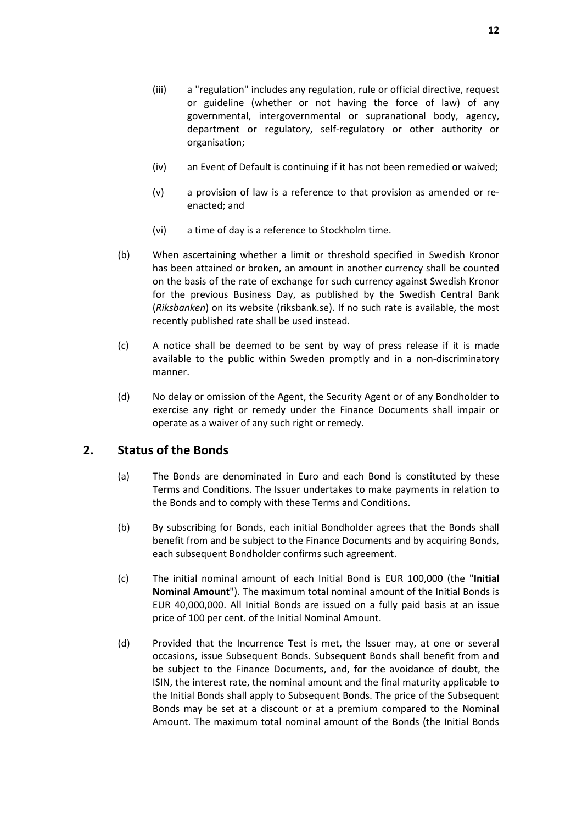- (iii) a "regulation" includes any regulation, rule or official directive, request or guideline (whether or not having the force of law) of any governmental, intergovernmental or supranational body, agency, department or regulatory, self-regulatory or other authority or organisation;
- (iv) an Event of Default is continuing if it has not been remedied or waived;
- (v) a provision of law is a reference to that provision as amended or reenacted; and
- (vi) a time of day is a reference to Stockholm time.
- (b) When ascertaining whether a limit or threshold specified in Swedish Kronor has been attained or broken, an amount in another currency shall be counted on the basis of the rate of exchange for such currency against Swedish Kronor for the previous Business Day, as published by the Swedish Central Bank (*Riksbanken*) on its website (riksbank.se). If no such rate is available, the most recently published rate shall be used instead.
- (c) A notice shall be deemed to be sent by way of press release if it is made available to the public within Sweden promptly and in a non-discriminatory manner.
- (d) No delay or omission of the Agent, the Security Agent or of any Bondholder to exercise any right or remedy under the Finance Documents shall impair or operate as a waiver of any such right or remedy.

## **2. Status of the Bonds**

- (a) The Bonds are denominated in Euro and each Bond is constituted by these Terms and Conditions. The Issuer undertakes to make payments in relation to the Bonds and to comply with these Terms and Conditions.
- (b) By subscribing for Bonds, each initial Bondholder agrees that the Bonds shall benefit from and be subject to the Finance Documents and by acquiring Bonds, each subsequent Bondholder confirms such agreement.
- (c) The initial nominal amount of each Initial Bond is EUR 100,000 (the "**Initial Nominal Amount**"). The maximum total nominal amount of the Initial Bonds is EUR 40,000,000. All Initial Bonds are issued on a fully paid basis at an issue price of 100 per cent. of the Initial Nominal Amount.
- (d) Provided that the Incurrence Test is met, the Issuer may, at one or several occasions, issue Subsequent Bonds. Subsequent Bonds shall benefit from and be subject to the Finance Documents, and, for the avoidance of doubt, the ISIN, the interest rate, the nominal amount and the final maturity applicable to the Initial Bonds shall apply to Subsequent Bonds. The price of the Subsequent Bonds may be set at a discount or at a premium compared to the Nominal Amount. The maximum total nominal amount of the Bonds (the Initial Bonds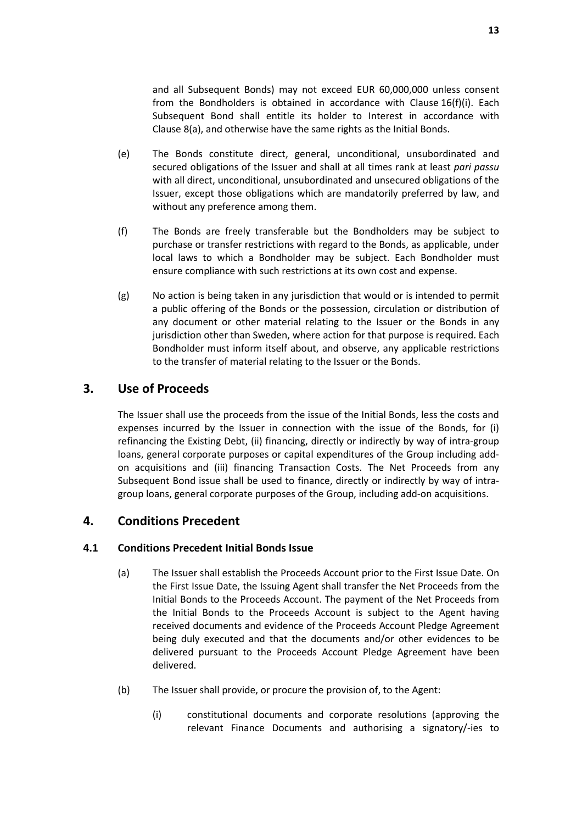and all Subsequent Bonds) may not exceed EUR 60,000,000 unless consent from the Bondholders is obtained in accordance with Clause 16(f)(i). Each Subsequent Bond shall entitle its holder to Interest in accordance with Clause 8(a), and otherwise have the same rights as the Initial Bonds.

- (e) The Bonds constitute direct, general, unconditional, unsubordinated and secured obligations of the Issuer and shall at all times rank at least *pari passu* with all direct, unconditional, unsubordinated and unsecured obligations of the Issuer, except those obligations which are mandatorily preferred by law, and without any preference among them.
- (f) The Bonds are freely transferable but the Bondholders may be subject to purchase or transfer restrictions with regard to the Bonds, as applicable, under local laws to which a Bondholder may be subject. Each Bondholder must ensure compliance with such restrictions at its own cost and expense.
- (g) No action is being taken in any jurisdiction that would or is intended to permit a public offering of the Bonds or the possession, circulation or distribution of any document or other material relating to the Issuer or the Bonds in any jurisdiction other than Sweden, where action for that purpose is required. Each Bondholder must inform itself about, and observe, any applicable restrictions to the transfer of material relating to the Issuer or the Bonds.

# **3. Use of Proceeds**

The Issuer shall use the proceeds from the issue of the Initial Bonds, less the costs and expenses incurred by the Issuer in connection with the issue of the Bonds, for (i) refinancing the Existing Debt, (ii) financing, directly or indirectly by way of intra-group loans, general corporate purposes or capital expenditures of the Group including addon acquisitions and (iii) financing Transaction Costs. The Net Proceeds from any Subsequent Bond issue shall be used to finance, directly or indirectly by way of intragroup loans, general corporate purposes of the Group, including add-on acquisitions.

## **4. Conditions Precedent**

## **4.1 Conditions Precedent Initial Bonds Issue**

- (a) The Issuer shall establish the Proceeds Account prior to the First Issue Date. On the First Issue Date, the Issuing Agent shall transfer the Net Proceeds from the Initial Bonds to the Proceeds Account. The payment of the Net Proceeds from the Initial Bonds to the Proceeds Account is subject to the Agent having received documents and evidence of the Proceeds Account Pledge Agreement being duly executed and that the documents and/or other evidences to be delivered pursuant to the Proceeds Account Pledge Agreement have been delivered.
- (b) The Issuer shall provide, or procure the provision of, to the Agent:
	- (i) constitutional documents and corporate resolutions (approving the relevant Finance Documents and authorising a signatory/-ies to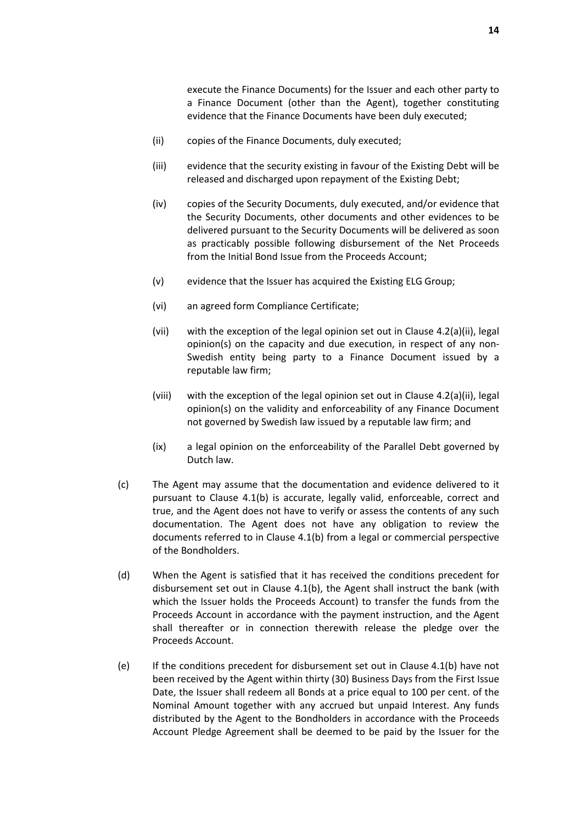execute the Finance Documents) for the Issuer and each other party to a Finance Document (other than the Agent), together constituting evidence that the Finance Documents have been duly executed;

- (ii) copies of the Finance Documents, duly executed;
- (iii) evidence that the security existing in favour of the Existing Debt will be released and discharged upon repayment of the Existing Debt;
- (iv) copies of the Security Documents, duly executed, and/or evidence that the Security Documents, other documents and other evidences to be delivered pursuant to the Security Documents will be delivered as soon as practicably possible following disbursement of the Net Proceeds from the Initial Bond Issue from the Proceeds Account;
- (v) evidence that the Issuer has acquired the Existing ELG Group;
- (vi) an agreed form Compliance Certificate;
- (vii) with the exception of the legal opinion set out in Clause 4.2(a)(ii), legal opinion(s) on the capacity and due execution, in respect of any non-Swedish entity being party to a Finance Document issued by a reputable law firm;
- (viii) with the exception of the legal opinion set out in Clause 4.2(a)(ii), legal opinion(s) on the validity and enforceability of any Finance Document not governed by Swedish law issued by a reputable law firm; and
- (ix) a legal opinion on the enforceability of the Parallel Debt governed by Dutch law.
- (c) The Agent may assume that the documentation and evidence delivered to it pursuant to Clause 4.1(b) is accurate, legally valid, enforceable, correct and true, and the Agent does not have to verify or assess the contents of any such documentation. The Agent does not have any obligation to review the documents referred to in Clause 4.1(b) from a legal or commercial perspective of the Bondholders.
- (d) When the Agent is satisfied that it has received the conditions precedent for disbursement set out in Clause 4.1(b), the Agent shall instruct the bank (with which the Issuer holds the Proceeds Account) to transfer the funds from the Proceeds Account in accordance with the payment instruction, and the Agent shall thereafter or in connection therewith release the pledge over the Proceeds Account.
- (e) If the conditions precedent for disbursement set out in Clause 4.1(b) have not been received by the Agent within thirty (30) Business Days from the First Issue Date, the Issuer shall redeem all Bonds at a price equal to 100 per cent. of the Nominal Amount together with any accrued but unpaid Interest. Any funds distributed by the Agent to the Bondholders in accordance with the Proceeds Account Pledge Agreement shall be deemed to be paid by the Issuer for the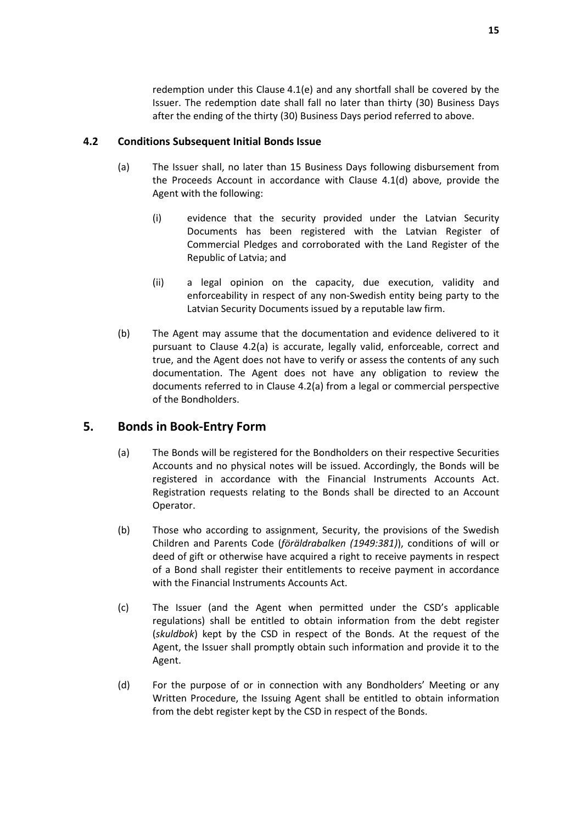redemption under this Clause 4.1(e) and any shortfall shall be covered by the Issuer. The redemption date shall fall no later than thirty (30) Business Days after the ending of the thirty (30) Business Days period referred to above.

#### **4.2 Conditions Subsequent Initial Bonds Issue**

- (a) The Issuer shall, no later than 15 Business Days following disbursement from the Proceeds Account in accordance with Clause 4.1(d) above, provide the Agent with the following:
	- (i) evidence that the security provided under the Latvian Security Documents has been registered with the Latvian Register of Commercial Pledges and corroborated with the Land Register of the Republic of Latvia; and
	- (ii) a legal opinion on the capacity, due execution, validity and enforceability in respect of any non-Swedish entity being party to the Latvian Security Documents issued by a reputable law firm.
- (b) The Agent may assume that the documentation and evidence delivered to it pursuant to Clause 4.2(a) is accurate, legally valid, enforceable, correct and true, and the Agent does not have to verify or assess the contents of any such documentation. The Agent does not have any obligation to review the documents referred to in Clause 4.2(a) from a legal or commercial perspective of the Bondholders.

# **5. Bonds in Book-Entry Form**

- (a) The Bonds will be registered for the Bondholders on their respective Securities Accounts and no physical notes will be issued. Accordingly, the Bonds will be registered in accordance with the Financial Instruments Accounts Act. Registration requests relating to the Bonds shall be directed to an Account Operator.
- (b) Those who according to assignment, Security, the provisions of the Swedish Children and Parents Code (*föräldrabalken (1949:381)*), conditions of will or deed of gift or otherwise have acquired a right to receive payments in respect of a Bond shall register their entitlements to receive payment in accordance with the Financial Instruments Accounts Act.
- (c) The Issuer (and the Agent when permitted under the CSD's applicable regulations) shall be entitled to obtain information from the debt register (*skuldbok*) kept by the CSD in respect of the Bonds. At the request of the Agent, the Issuer shall promptly obtain such information and provide it to the Agent.
- (d) For the purpose of or in connection with any Bondholders' Meeting or any Written Procedure, the Issuing Agent shall be entitled to obtain information from the debt register kept by the CSD in respect of the Bonds.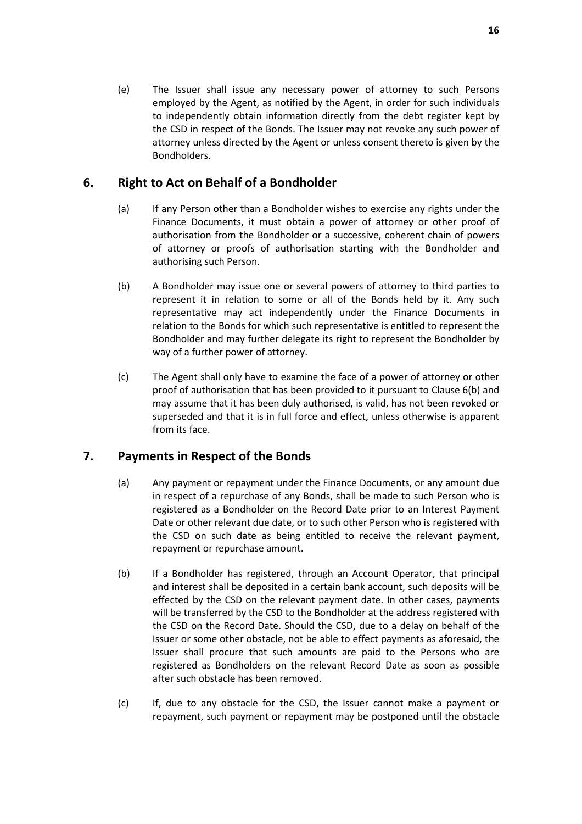(e) The Issuer shall issue any necessary power of attorney to such Persons employed by the Agent, as notified by the Agent, in order for such individuals to independently obtain information directly from the debt register kept by the CSD in respect of the Bonds. The Issuer may not revoke any such power of attorney unless directed by the Agent or unless consent thereto is given by the Bondholders.

# **6. Right to Act on Behalf of a Bondholder**

- (a) If any Person other than a Bondholder wishes to exercise any rights under the Finance Documents, it must obtain a power of attorney or other proof of authorisation from the Bondholder or a successive, coherent chain of powers of attorney or proofs of authorisation starting with the Bondholder and authorising such Person.
- (b) A Bondholder may issue one or several powers of attorney to third parties to represent it in relation to some or all of the Bonds held by it. Any such representative may act independently under the Finance Documents in relation to the Bonds for which such representative is entitled to represent the Bondholder and may further delegate its right to represent the Bondholder by way of a further power of attorney.
- (c) The Agent shall only have to examine the face of a power of attorney or other proof of authorisation that has been provided to it pursuant to Clause 6(b) and may assume that it has been duly authorised, is valid, has not been revoked or superseded and that it is in full force and effect, unless otherwise is apparent from its face.

# **7. Payments in Respect of the Bonds**

- (a) Any payment or repayment under the Finance Documents, or any amount due in respect of a repurchase of any Bonds, shall be made to such Person who is registered as a Bondholder on the Record Date prior to an Interest Payment Date or other relevant due date, or to such other Person who is registered with the CSD on such date as being entitled to receive the relevant payment, repayment or repurchase amount.
- (b) If a Bondholder has registered, through an Account Operator, that principal and interest shall be deposited in a certain bank account, such deposits will be effected by the CSD on the relevant payment date. In other cases, payments will be transferred by the CSD to the Bondholder at the address registered with the CSD on the Record Date. Should the CSD, due to a delay on behalf of the Issuer or some other obstacle, not be able to effect payments as aforesaid, the Issuer shall procure that such amounts are paid to the Persons who are registered as Bondholders on the relevant Record Date as soon as possible after such obstacle has been removed.
- (c) If, due to any obstacle for the CSD, the Issuer cannot make a payment or repayment, such payment or repayment may be postponed until the obstacle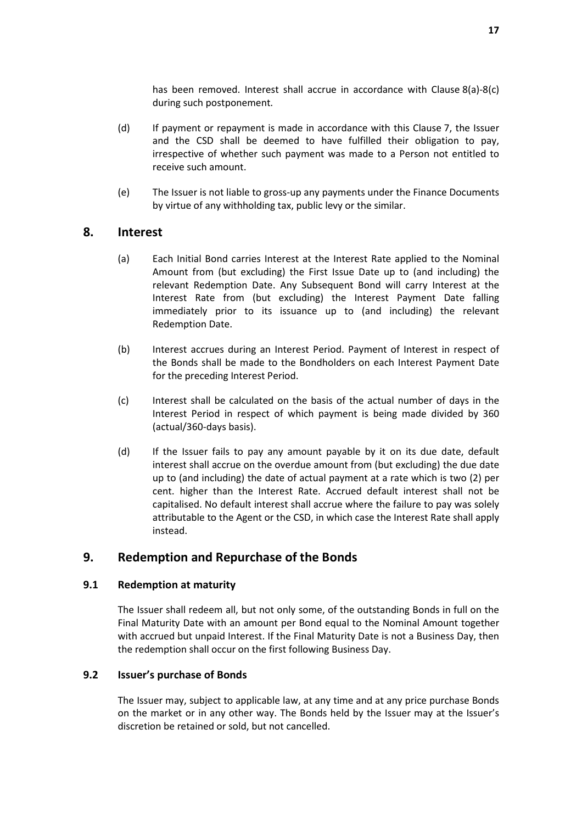has been removed. Interest shall accrue in accordance with Clause 8(a)-8(c) during such postponement.

- (d) If payment or repayment is made in accordance with this Clause 7, the Issuer and the CSD shall be deemed to have fulfilled their obligation to pay, irrespective of whether such payment was made to a Person not entitled to receive such amount.
- (e) The Issuer is not liable to gross-up any payments under the Finance Documents by virtue of any withholding tax, public levy or the similar.

## **8. Interest**

- (a) Each Initial Bond carries Interest at the Interest Rate applied to the Nominal Amount from (but excluding) the First Issue Date up to (and including) the relevant Redemption Date. Any Subsequent Bond will carry Interest at the Interest Rate from (but excluding) the Interest Payment Date falling immediately prior to its issuance up to (and including) the relevant Redemption Date.
- (b) Interest accrues during an Interest Period. Payment of Interest in respect of the Bonds shall be made to the Bondholders on each Interest Payment Date for the preceding Interest Period.
- (c) Interest shall be calculated on the basis of the actual number of days in the Interest Period in respect of which payment is being made divided by 360 (actual/360-days basis).
- (d) If the Issuer fails to pay any amount payable by it on its due date, default interest shall accrue on the overdue amount from (but excluding) the due date up to (and including) the date of actual payment at a rate which is two (2) per cent. higher than the Interest Rate. Accrued default interest shall not be capitalised. No default interest shall accrue where the failure to pay was solely attributable to the Agent or the CSD, in which case the Interest Rate shall apply instead.

# **9. Redemption and Repurchase of the Bonds**

## **9.1 Redemption at maturity**

The Issuer shall redeem all, but not only some, of the outstanding Bonds in full on the Final Maturity Date with an amount per Bond equal to the Nominal Amount together with accrued but unpaid Interest. If the Final Maturity Date is not a Business Day, then the redemption shall occur on the first following Business Day.

## **9.2 Issuer's purchase of Bonds**

The Issuer may, subject to applicable law, at any time and at any price purchase Bonds on the market or in any other way. The Bonds held by the Issuer may at the Issuer's discretion be retained or sold, but not cancelled.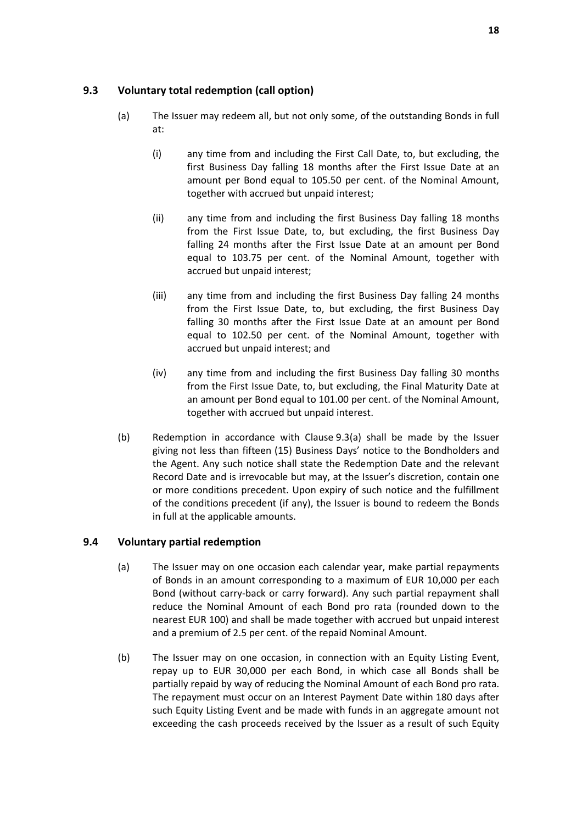## **9.3 Voluntary total redemption (call option)**

- (a) The Issuer may redeem all, but not only some, of the outstanding Bonds in full at:
	- (i) any time from and including the First Call Date, to, but excluding, the first Business Day falling 18 months after the First Issue Date at an amount per Bond equal to 105.50 per cent. of the Nominal Amount, together with accrued but unpaid interest;
	- (ii) any time from and including the first Business Day falling 18 months from the First Issue Date, to, but excluding, the first Business Day falling 24 months after the First Issue Date at an amount per Bond equal to 103.75 per cent. of the Nominal Amount, together with accrued but unpaid interest;
	- (iii) any time from and including the first Business Day falling 24 months from the First Issue Date, to, but excluding, the first Business Day falling 30 months after the First Issue Date at an amount per Bond equal to 102.50 per cent. of the Nominal Amount, together with accrued but unpaid interest; and
	- (iv) any time from and including the first Business Day falling 30 months from the First Issue Date, to, but excluding, the Final Maturity Date at an amount per Bond equal to 101.00 per cent. of the Nominal Amount, together with accrued but unpaid interest.
- (b) Redemption in accordance with Clause 9.3(a) shall be made by the Issuer giving not less than fifteen (15) Business Days' notice to the Bondholders and the Agent. Any such notice shall state the Redemption Date and the relevant Record Date and is irrevocable but may, at the Issuer's discretion, contain one or more conditions precedent. Upon expiry of such notice and the fulfillment of the conditions precedent (if any), the Issuer is bound to redeem the Bonds in full at the applicable amounts.

## **9.4 Voluntary partial redemption**

- (a) The Issuer may on one occasion each calendar year, make partial repayments of Bonds in an amount corresponding to a maximum of EUR 10,000 per each Bond (without carry-back or carry forward). Any such partial repayment shall reduce the Nominal Amount of each Bond pro rata (rounded down to the nearest EUR 100) and shall be made together with accrued but unpaid interest and a premium of 2.5 per cent. of the repaid Nominal Amount.
- (b) The Issuer may on one occasion, in connection with an Equity Listing Event, repay up to EUR 30,000 per each Bond, in which case all Bonds shall be partially repaid by way of reducing the Nominal Amount of each Bond pro rata. The repayment must occur on an Interest Payment Date within 180 days after such Equity Listing Event and be made with funds in an aggregate amount not exceeding the cash proceeds received by the Issuer as a result of such Equity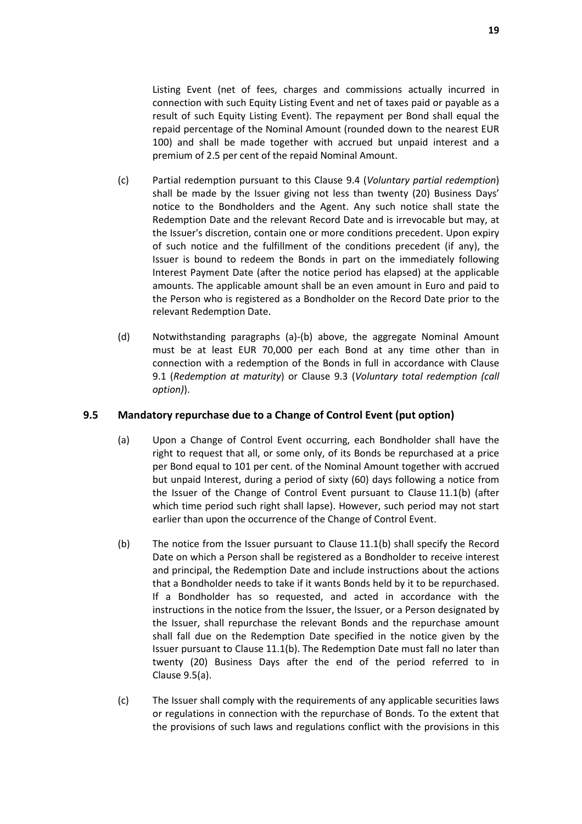Listing Event (net of fees, charges and commissions actually incurred in connection with such Equity Listing Event and net of taxes paid or payable as a result of such Equity Listing Event). The repayment per Bond shall equal the repaid percentage of the Nominal Amount (rounded down to the nearest EUR 100) and shall be made together with accrued but unpaid interest and a premium of 2.5 per cent of the repaid Nominal Amount.

- (c) Partial redemption pursuant to this Clause 9.4 (*Voluntary partial redemption*) shall be made by the Issuer giving not less than twenty (20) Business Days' notice to the Bondholders and the Agent. Any such notice shall state the Redemption Date and the relevant Record Date and is irrevocable but may, at the Issuer's discretion, contain one or more conditions precedent. Upon expiry of such notice and the fulfillment of the conditions precedent (if any), the Issuer is bound to redeem the Bonds in part on the immediately following Interest Payment Date (after the notice period has elapsed) at the applicable amounts. The applicable amount shall be an even amount in Euro and paid to the Person who is registered as a Bondholder on the Record Date prior to the relevant Redemption Date.
- (d) Notwithstanding paragraphs (a)-(b) above, the aggregate Nominal Amount must be at least EUR 70,000 per each Bond at any time other than in connection with a redemption of the Bonds in full in accordance with Clause 9.1 (*Redemption at maturity*) or Clause 9.3 (*Voluntary total redemption (call option)*).

#### **9.5 Mandatory repurchase due to a Change of Control Event (put option)**

- (a) Upon a Change of Control Event occurring, each Bondholder shall have the right to request that all, or some only, of its Bonds be repurchased at a price per Bond equal to 101 per cent. of the Nominal Amount together with accrued but unpaid Interest, during a period of sixty (60) days following a notice from the Issuer of the Change of Control Event pursuant to Clause 11.1(b) (after which time period such right shall lapse). However, such period may not start earlier than upon the occurrence of the Change of Control Event.
- (b) The notice from the Issuer pursuant to Clause 11.1(b) shall specify the Record Date on which a Person shall be registered as a Bondholder to receive interest and principal, the Redemption Date and include instructions about the actions that a Bondholder needs to take if it wants Bonds held by it to be repurchased. If a Bondholder has so requested, and acted in accordance with the instructions in the notice from the Issuer, the Issuer, or a Person designated by the Issuer, shall repurchase the relevant Bonds and the repurchase amount shall fall due on the Redemption Date specified in the notice given by the Issuer pursuant to Clause 11.1(b). The Redemption Date must fall no later than twenty (20) Business Days after the end of the period referred to in Clause 9.5(a).
- (c) The Issuer shall comply with the requirements of any applicable securities laws or regulations in connection with the repurchase of Bonds. To the extent that the provisions of such laws and regulations conflict with the provisions in this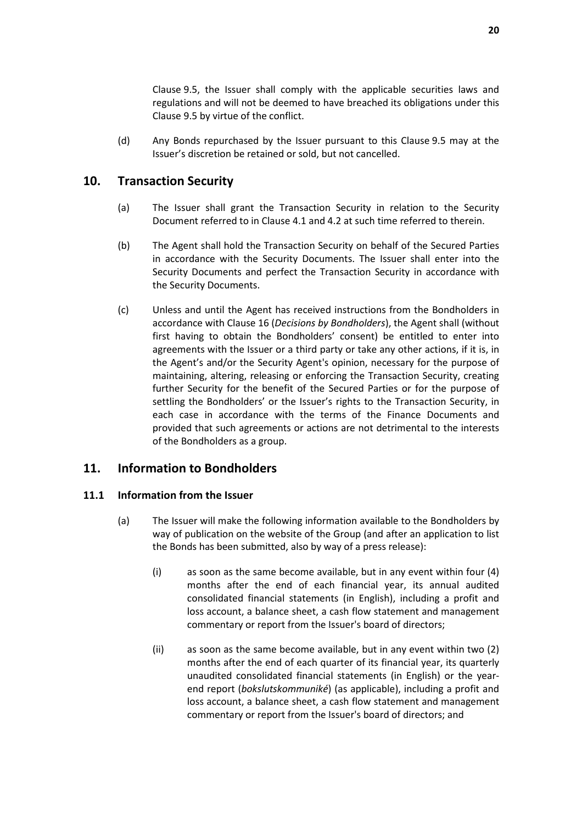Clause 9.5, the Issuer shall comply with the applicable securities laws and regulations and will not be deemed to have breached its obligations under this Clause 9.5 by virtue of the conflict.

(d) Any Bonds repurchased by the Issuer pursuant to this Clause 9.5 may at the Issuer's discretion be retained or sold, but not cancelled.

## **10. Transaction Security**

- (a) The Issuer shall grant the Transaction Security in relation to the Security Document referred to in Clause 4.1 and 4.2 at such time referred to therein.
- (b) The Agent shall hold the Transaction Security on behalf of the Secured Parties in accordance with the Security Documents. The Issuer shall enter into the Security Documents and perfect the Transaction Security in accordance with the Security Documents.
- (c) Unless and until the Agent has received instructions from the Bondholders in accordance with Clause 16 (*Decisions by Bondholders*), the Agent shall (without first having to obtain the Bondholders' consent) be entitled to enter into agreements with the Issuer or a third party or take any other actions, if it is, in the Agent's and/or the Security Agent's opinion, necessary for the purpose of maintaining, altering, releasing or enforcing the Transaction Security, creating further Security for the benefit of the Secured Parties or for the purpose of settling the Bondholders' or the Issuer's rights to the Transaction Security, in each case in accordance with the terms of the Finance Documents and provided that such agreements or actions are not detrimental to the interests of the Bondholders as a group.

# **11. Information to Bondholders**

## **11.1 Information from the Issuer**

- (a) The Issuer will make the following information available to the Bondholders by way of publication on the website of the Group (and after an application to list the Bonds has been submitted, also by way of a press release):
	- (i) as soon as the same become available, but in any event within four (4) months after the end of each financial year, its annual audited consolidated financial statements (in English), including a profit and loss account, a balance sheet, a cash flow statement and management commentary or report from the Issuer's board of directors;
	- (ii) as soon as the same become available, but in any event within two (2) months after the end of each quarter of its financial year, its quarterly unaudited consolidated financial statements (in English) or the yearend report (*bokslutskommuniké*) (as applicable), including a profit and loss account, a balance sheet, a cash flow statement and management commentary or report from the Issuer's board of directors; and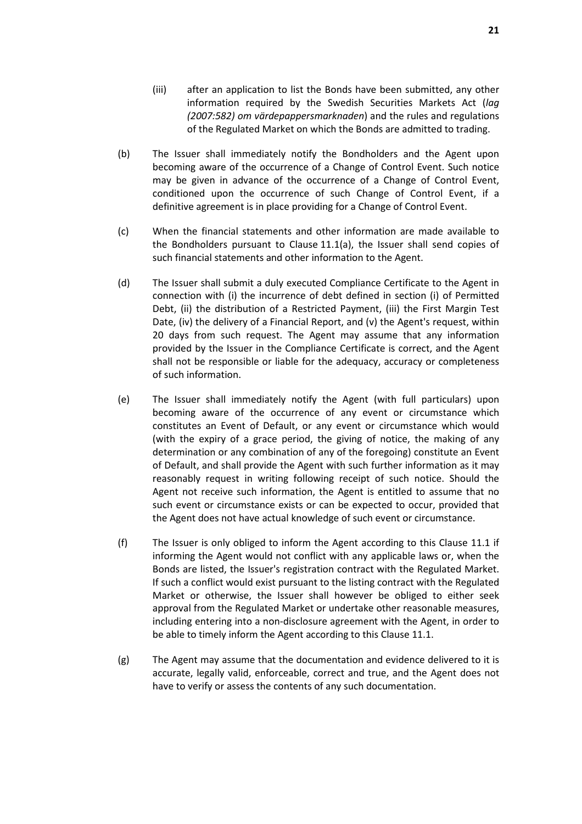- (iii) after an application to list the Bonds have been submitted, any other information required by the Swedish Securities Markets Act (*lag (2007:582) om värdepappersmarknaden*) and the rules and regulations of the Regulated Market on which the Bonds are admitted to trading.
- (b) The Issuer shall immediately notify the Bondholders and the Agent upon becoming aware of the occurrence of a Change of Control Event. Such notice may be given in advance of the occurrence of a Change of Control Event, conditioned upon the occurrence of such Change of Control Event, if a definitive agreement is in place providing for a Change of Control Event.
- (c) When the financial statements and other information are made available to the Bondholders pursuant to Clause 11.1(a), the Issuer shall send copies of such financial statements and other information to the Agent.
- (d) The Issuer shall submit a duly executed Compliance Certificate to the Agent in connection with (i) the incurrence of debt defined in section (i) of Permitted Debt, (ii) the distribution of a Restricted Payment, (iii) the First Margin Test Date, (iv) the delivery of a Financial Report, and (v) the Agent's request, within 20 days from such request. The Agent may assume that any information provided by the Issuer in the Compliance Certificate is correct, and the Agent shall not be responsible or liable for the adequacy, accuracy or completeness of such information.
- (e) The Issuer shall immediately notify the Agent (with full particulars) upon becoming aware of the occurrence of any event or circumstance which constitutes an Event of Default, or any event or circumstance which would (with the expiry of a grace period, the giving of notice, the making of any determination or any combination of any of the foregoing) constitute an Event of Default, and shall provide the Agent with such further information as it may reasonably request in writing following receipt of such notice. Should the Agent not receive such information, the Agent is entitled to assume that no such event or circumstance exists or can be expected to occur, provided that the Agent does not have actual knowledge of such event or circumstance.
- (f) The Issuer is only obliged to inform the Agent according to this Clause 11.1 if informing the Agent would not conflict with any applicable laws or, when the Bonds are listed, the Issuer's registration contract with the Regulated Market. If such a conflict would exist pursuant to the listing contract with the Regulated Market or otherwise, the Issuer shall however be obliged to either seek approval from the Regulated Market or undertake other reasonable measures, including entering into a non-disclosure agreement with the Agent, in order to be able to timely inform the Agent according to this Clause 11.1.
- (g) The Agent may assume that the documentation and evidence delivered to it is accurate, legally valid, enforceable, correct and true, and the Agent does not have to verify or assess the contents of any such documentation.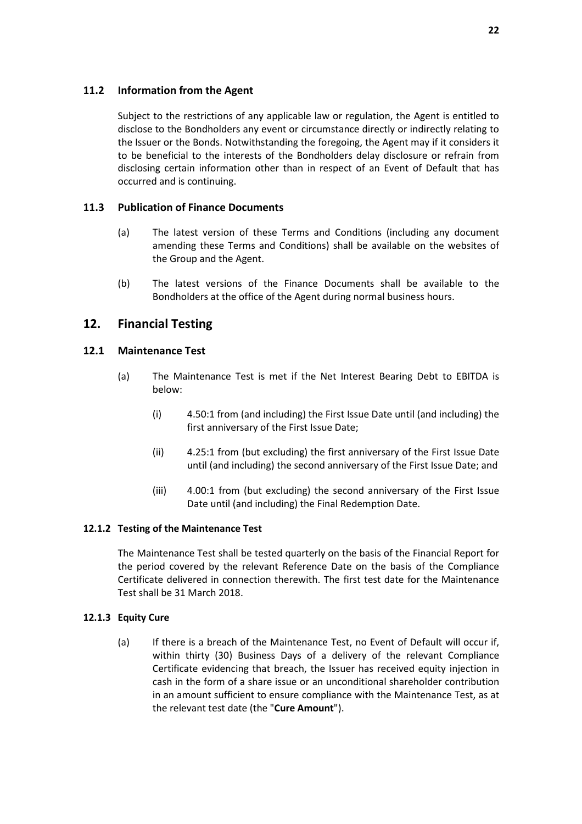## **11.2 Information from the Agent**

Subject to the restrictions of any applicable law or regulation, the Agent is entitled to disclose to the Bondholders any event or circumstance directly or indirectly relating to the Issuer or the Bonds. Notwithstanding the foregoing, the Agent may if it considers it to be beneficial to the interests of the Bondholders delay disclosure or refrain from disclosing certain information other than in respect of an Event of Default that has occurred and is continuing.

## **11.3 Publication of Finance Documents**

- (a) The latest version of these Terms and Conditions (including any document amending these Terms and Conditions) shall be available on the websites of the Group and the Agent.
- (b) The latest versions of the Finance Documents shall be available to the Bondholders at the office of the Agent during normal business hours.

# **12. Financial Testing**

## **12.1 Maintenance Test**

- (a) The Maintenance Test is met if the Net Interest Bearing Debt to EBITDA is below:
	- (i) 4.50:1 from (and including) the First Issue Date until (and including) the first anniversary of the First Issue Date;
	- (ii) 4.25:1 from (but excluding) the first anniversary of the First Issue Date until (and including) the second anniversary of the First Issue Date; and
	- (iii) 4.00:1 from (but excluding) the second anniversary of the First Issue Date until (and including) the Final Redemption Date.

## **12.1.2 Testing of the Maintenance Test**

The Maintenance Test shall be tested quarterly on the basis of the Financial Report for the period covered by the relevant Reference Date on the basis of the Compliance Certificate delivered in connection therewith. The first test date for the Maintenance Test shall be 31 March 2018.

## **12.1.3 Equity Cure**

(a) If there is a breach of the Maintenance Test, no Event of Default will occur if, within thirty (30) Business Days of a delivery of the relevant Compliance Certificate evidencing that breach, the Issuer has received equity injection in cash in the form of a share issue or an unconditional shareholder contribution in an amount sufficient to ensure compliance with the Maintenance Test, as at the relevant test date (the "**Cure Amount**").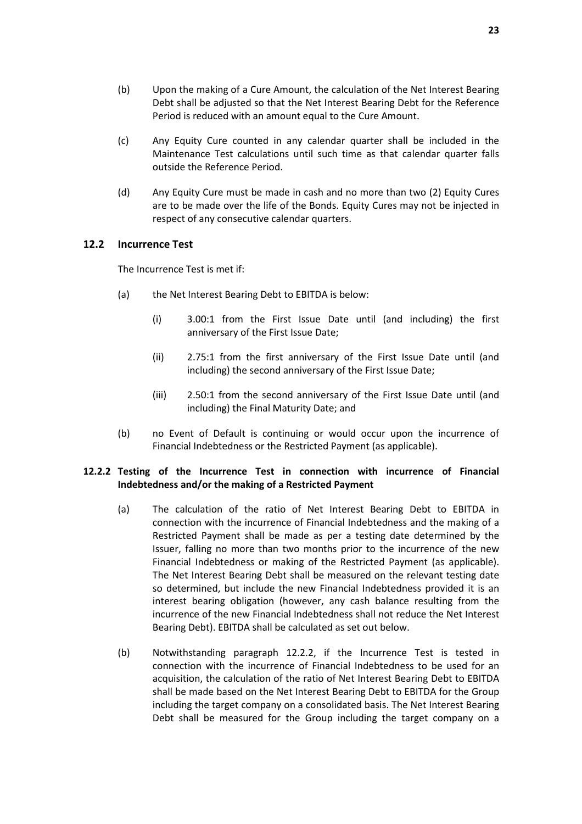- (b) Upon the making of a Cure Amount, the calculation of the Net Interest Bearing Debt shall be adjusted so that the Net Interest Bearing Debt for the Reference Period is reduced with an amount equal to the Cure Amount.
- (c) Any Equity Cure counted in any calendar quarter shall be included in the Maintenance Test calculations until such time as that calendar quarter falls outside the Reference Period.
- (d) Any Equity Cure must be made in cash and no more than two (2) Equity Cures are to be made over the life of the Bonds. Equity Cures may not be injected in respect of any consecutive calendar quarters.

#### **12.2 Incurrence Test**

The Incurrence Test is met if:

- (a) the Net Interest Bearing Debt to EBITDA is below:
	- (i) 3.00:1 from the First Issue Date until (and including) the first anniversary of the First Issue Date;
	- (ii) 2.75:1 from the first anniversary of the First Issue Date until (and including) the second anniversary of the First Issue Date;
	- (iii) 2.50:1 from the second anniversary of the First Issue Date until (and including) the Final Maturity Date; and
- (b) no Event of Default is continuing or would occur upon the incurrence of Financial Indebtedness or the Restricted Payment (as applicable).

#### **12.2.2 Testing of the Incurrence Test in connection with incurrence of Financial Indebtedness and/or the making of a Restricted Payment**

- (a) The calculation of the ratio of Net Interest Bearing Debt to EBITDA in connection with the incurrence of Financial Indebtedness and the making of a Restricted Payment shall be made as per a testing date determined by the Issuer, falling no more than two months prior to the incurrence of the new Financial Indebtedness or making of the Restricted Payment (as applicable). The Net Interest Bearing Debt shall be measured on the relevant testing date so determined, but include the new Financial Indebtedness provided it is an interest bearing obligation (however, any cash balance resulting from the incurrence of the new Financial Indebtedness shall not reduce the Net Interest Bearing Debt). EBITDA shall be calculated as set out below.
- (b) Notwithstanding paragraph 12.2.2, if the Incurrence Test is tested in connection with the incurrence of Financial Indebtedness to be used for an acquisition, the calculation of the ratio of Net Interest Bearing Debt to EBITDA shall be made based on the Net Interest Bearing Debt to EBITDA for the Group including the target company on a consolidated basis. The Net Interest Bearing Debt shall be measured for the Group including the target company on a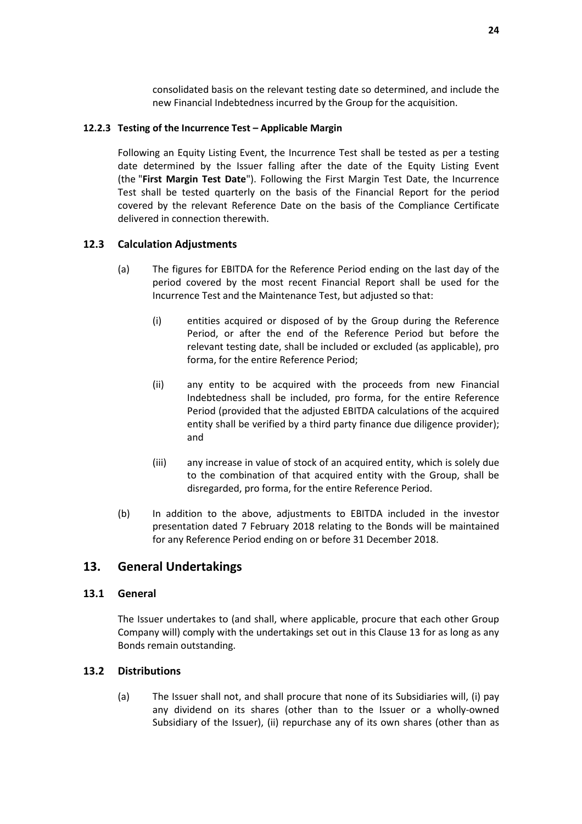consolidated basis on the relevant testing date so determined, and include the new Financial Indebtedness incurred by the Group for the acquisition.

#### **12.2.3 Testing of the Incurrence Test – Applicable Margin**

Following an Equity Listing Event, the Incurrence Test shall be tested as per a testing date determined by the Issuer falling after the date of the Equity Listing Event (the "**First Margin Test Date**"). Following the First Margin Test Date, the Incurrence Test shall be tested quarterly on the basis of the Financial Report for the period covered by the relevant Reference Date on the basis of the Compliance Certificate delivered in connection therewith.

## **12.3 Calculation Adjustments**

- (a) The figures for EBITDA for the Reference Period ending on the last day of the period covered by the most recent Financial Report shall be used for the Incurrence Test and the Maintenance Test, but adjusted so that:
	- (i) entities acquired or disposed of by the Group during the Reference Period, or after the end of the Reference Period but before the relevant testing date, shall be included or excluded (as applicable), pro forma, for the entire Reference Period;
	- (ii) any entity to be acquired with the proceeds from new Financial Indebtedness shall be included, pro forma, for the entire Reference Period (provided that the adjusted EBITDA calculations of the acquired entity shall be verified by a third party finance due diligence provider); and
	- (iii) any increase in value of stock of an acquired entity, which is solely due to the combination of that acquired entity with the Group, shall be disregarded, pro forma, for the entire Reference Period.
- (b) In addition to the above, adjustments to EBITDA included in the investor presentation dated 7 February 2018 relating to the Bonds will be maintained for any Reference Period ending on or before 31 December 2018.

## **13. General Undertakings**

## **13.1 General**

The Issuer undertakes to (and shall, where applicable, procure that each other Group Company will) comply with the undertakings set out in this Clause 13 for as long as any Bonds remain outstanding.

## **13.2 Distributions**

(a) The Issuer shall not, and shall procure that none of its Subsidiaries will, (i) pay any dividend on its shares (other than to the Issuer or a wholly-owned Subsidiary of the Issuer), (ii) repurchase any of its own shares (other than as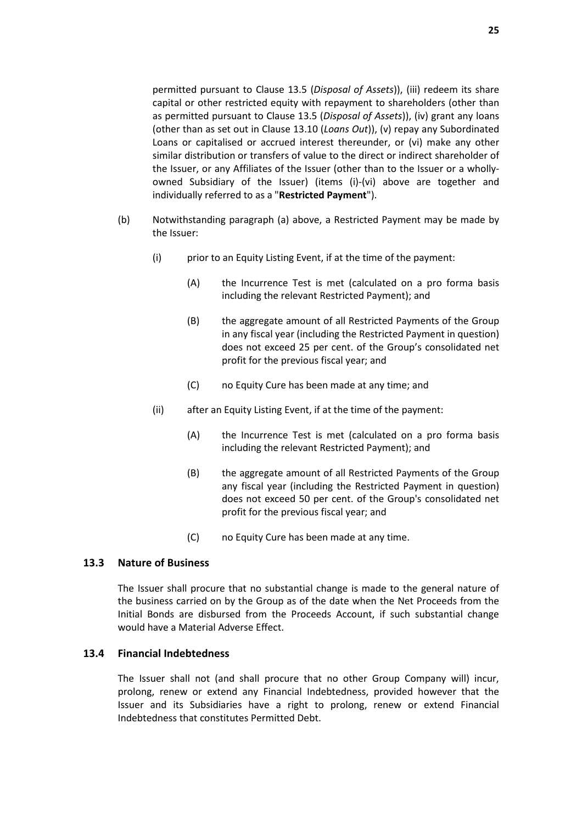permitted pursuant to Clause 13.5 (*Disposal of Assets*)), (iii) redeem its share capital or other restricted equity with repayment to shareholders (other than as permitted pursuant to Clause 13.5 (*Disposal of Assets*)), (iv) grant any loans (other than as set out in Clause 13.10 (*Loans Out*)), (v) repay any Subordinated Loans or capitalised or accrued interest thereunder, or (vi) make any other similar distribution or transfers of value to the direct or indirect shareholder of the Issuer, or any Affiliates of the Issuer (other than to the Issuer or a whollyowned Subsidiary of the Issuer) (items (i)-(vi) above are together and individually referred to as a "**Restricted Payment**").

- (b) Notwithstanding paragraph (a) above, a Restricted Payment may be made by the Issuer:
	- (i) prior to an Equity Listing Event, if at the time of the payment:
		- (A) the Incurrence Test is met (calculated on a pro forma basis including the relevant Restricted Payment); and
		- (B) the aggregate amount of all Restricted Payments of the Group in any fiscal year (including the Restricted Payment in question) does not exceed 25 per cent. of the Group's consolidated net profit for the previous fiscal year; and
		- (C) no Equity Cure has been made at any time; and
	- (ii) after an Equity Listing Event, if at the time of the payment:
		- (A) the Incurrence Test is met (calculated on a pro forma basis including the relevant Restricted Payment); and
		- (B) the aggregate amount of all Restricted Payments of the Group any fiscal year (including the Restricted Payment in question) does not exceed 50 per cent. of the Group's consolidated net profit for the previous fiscal year; and
		- (C) no Equity Cure has been made at any time.

## **13.3 Nature of Business**

The Issuer shall procure that no substantial change is made to the general nature of the business carried on by the Group as of the date when the Net Proceeds from the Initial Bonds are disbursed from the Proceeds Account, if such substantial change would have a Material Adverse Effect.

#### **13.4 Financial Indebtedness**

The Issuer shall not (and shall procure that no other Group Company will) incur, prolong, renew or extend any Financial Indebtedness, provided however that the Issuer and its Subsidiaries have a right to prolong, renew or extend Financial Indebtedness that constitutes Permitted Debt.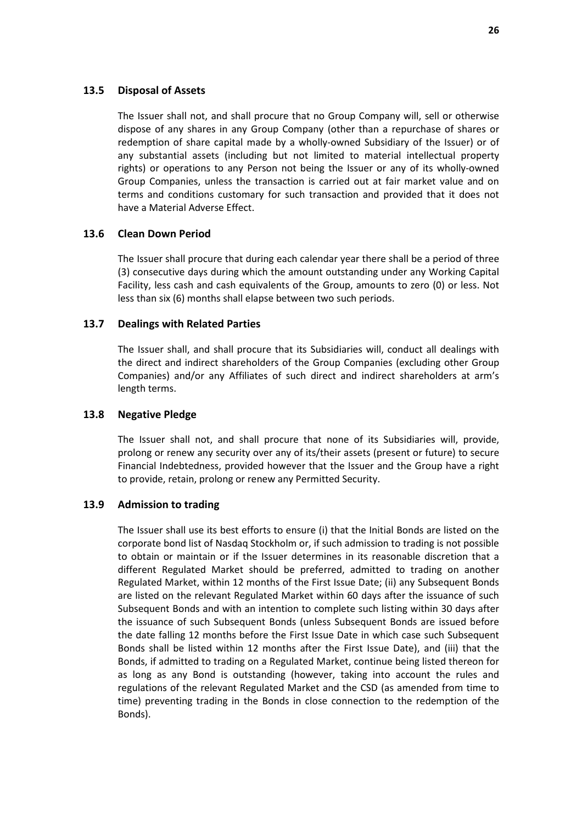#### **13.5 Disposal of Assets**

The Issuer shall not, and shall procure that no Group Company will, sell or otherwise dispose of any shares in any Group Company (other than a repurchase of shares or redemption of share capital made by a wholly-owned Subsidiary of the Issuer) or of any substantial assets (including but not limited to material intellectual property rights) or operations to any Person not being the Issuer or any of its wholly-owned Group Companies, unless the transaction is carried out at fair market value and on terms and conditions customary for such transaction and provided that it does not have a Material Adverse Effect.

#### **13.6 Clean Down Period**

The Issuer shall procure that during each calendar year there shall be a period of three (3) consecutive days during which the amount outstanding under any Working Capital Facility, less cash and cash equivalents of the Group, amounts to zero (0) or less. Not less than six (6) months shall elapse between two such periods.

#### **13.7 Dealings with Related Parties**

The Issuer shall, and shall procure that its Subsidiaries will, conduct all dealings with the direct and indirect shareholders of the Group Companies (excluding other Group Companies) and/or any Affiliates of such direct and indirect shareholders at arm's length terms.

#### **13.8 Negative Pledge**

The Issuer shall not, and shall procure that none of its Subsidiaries will, provide, prolong or renew any security over any of its/their assets (present or future) to secure Financial Indebtedness, provided however that the Issuer and the Group have a right to provide, retain, prolong or renew any Permitted Security.

#### **13.9 Admission to trading**

The Issuer shall use its best efforts to ensure (i) that the Initial Bonds are listed on the corporate bond list of Nasdaq Stockholm or, if such admission to trading is not possible to obtain or maintain or if the Issuer determines in its reasonable discretion that a different Regulated Market should be preferred, admitted to trading on another Regulated Market, within 12 months of the First Issue Date; (ii) any Subsequent Bonds are listed on the relevant Regulated Market within 60 days after the issuance of such Subsequent Bonds and with an intention to complete such listing within 30 days after the issuance of such Subsequent Bonds (unless Subsequent Bonds are issued before the date falling 12 months before the First Issue Date in which case such Subsequent Bonds shall be listed within 12 months after the First Issue Date), and (iii) that the Bonds, if admitted to trading on a Regulated Market, continue being listed thereon for as long as any Bond is outstanding (however, taking into account the rules and regulations of the relevant Regulated Market and the CSD (as amended from time to time) preventing trading in the Bonds in close connection to the redemption of the Bonds).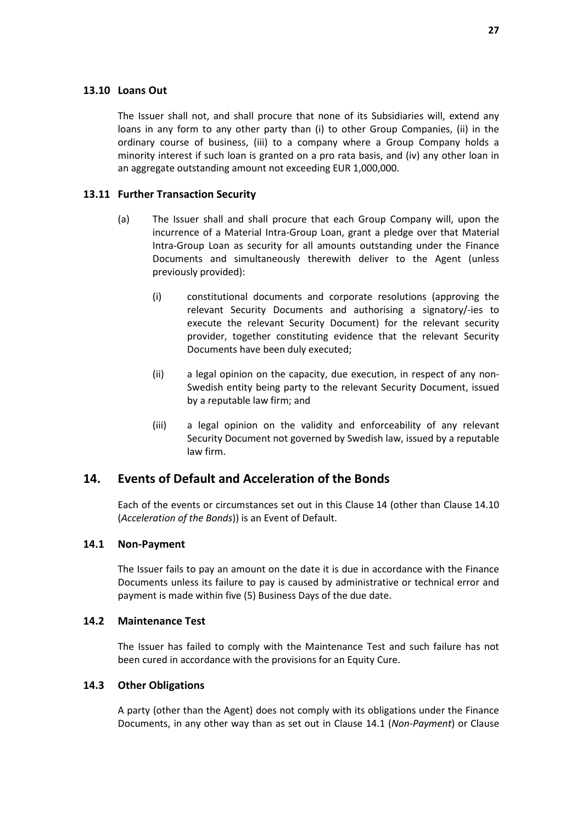#### **13.10 Loans Out**

The Issuer shall not, and shall procure that none of its Subsidiaries will, extend any loans in any form to any other party than (i) to other Group Companies, (ii) in the ordinary course of business, (iii) to a company where a Group Company holds a minority interest if such loan is granted on a pro rata basis, and (iv) any other loan in an aggregate outstanding amount not exceeding EUR 1,000,000.

#### **13.11 Further Transaction Security**

- (a) The Issuer shall and shall procure that each Group Company will, upon the incurrence of a Material Intra-Group Loan, grant a pledge over that Material Intra-Group Loan as security for all amounts outstanding under the Finance Documents and simultaneously therewith deliver to the Agent (unless previously provided):
	- (i) constitutional documents and corporate resolutions (approving the relevant Security Documents and authorising a signatory/-ies to execute the relevant Security Document) for the relevant security provider, together constituting evidence that the relevant Security Documents have been duly executed;
	- (ii) a legal opinion on the capacity, due execution, in respect of any non-Swedish entity being party to the relevant Security Document, issued by a reputable law firm; and
	- (iii) a legal opinion on the validity and enforceability of any relevant Security Document not governed by Swedish law, issued by a reputable law firm.

## **14. Events of Default and Acceleration of the Bonds**

Each of the events or circumstances set out in this Clause 14 (other than Clause 14.10 (*Acceleration of the Bonds*)) is an Event of Default.

#### **14.1 Non-Payment**

The Issuer fails to pay an amount on the date it is due in accordance with the Finance Documents unless its failure to pay is caused by administrative or technical error and payment is made within five (5) Business Days of the due date.

#### **14.2 Maintenance Test**

The Issuer has failed to comply with the Maintenance Test and such failure has not been cured in accordance with the provisions for an Equity Cure.

#### **14.3 Other Obligations**

A party (other than the Agent) does not comply with its obligations under the Finance Documents, in any other way than as set out in Clause 14.1 (*Non-Payment*) or Clause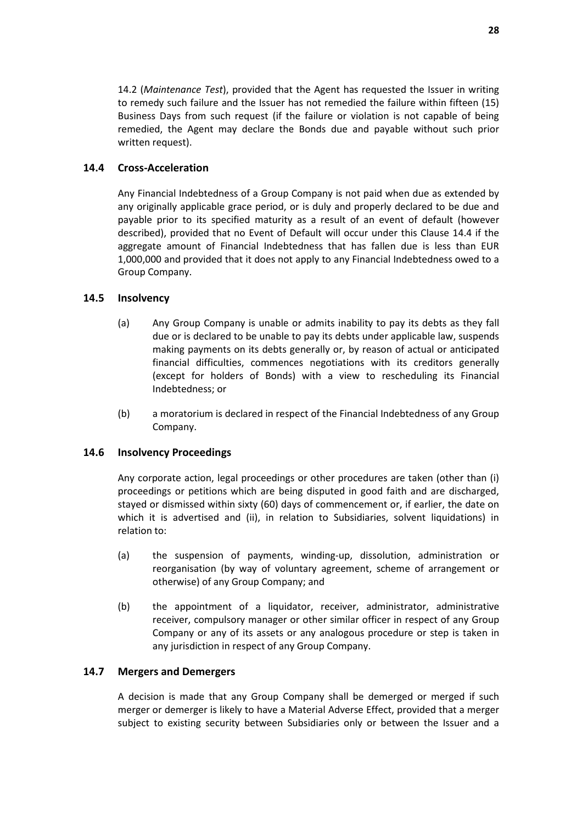14.2 (*Maintenance Test*), provided that the Agent has requested the Issuer in writing to remedy such failure and the Issuer has not remedied the failure within fifteen (15) Business Days from such request (if the failure or violation is not capable of being remedied, the Agent may declare the Bonds due and payable without such prior written request).

## **14.4 Cross-Acceleration**

Any Financial Indebtedness of a Group Company is not paid when due as extended by any originally applicable grace period, or is duly and properly declared to be due and payable prior to its specified maturity as a result of an event of default (however described), provided that no Event of Default will occur under this Clause 14.4 if the aggregate amount of Financial Indebtedness that has fallen due is less than EUR 1,000,000 and provided that it does not apply to any Financial Indebtedness owed to a Group Company.

## **14.5 Insolvency**

- (a) Any Group Company is unable or admits inability to pay its debts as they fall due or is declared to be unable to pay its debts under applicable law, suspends making payments on its debts generally or, by reason of actual or anticipated financial difficulties, commences negotiations with its creditors generally (except for holders of Bonds) with a view to rescheduling its Financial Indebtedness; or
- (b) a moratorium is declared in respect of the Financial Indebtedness of any Group Company.

## **14.6 Insolvency Proceedings**

Any corporate action, legal proceedings or other procedures are taken (other than (i) proceedings or petitions which are being disputed in good faith and are discharged, stayed or dismissed within sixty (60) days of commencement or, if earlier, the date on which it is advertised and (ii), in relation to Subsidiaries, solvent liquidations) in relation to:

- (a) the suspension of payments, winding-up, dissolution, administration or reorganisation (by way of voluntary agreement, scheme of arrangement or otherwise) of any Group Company; and
- (b) the appointment of a liquidator, receiver, administrator, administrative receiver, compulsory manager or other similar officer in respect of any Group Company or any of its assets or any analogous procedure or step is taken in any jurisdiction in respect of any Group Company.

#### **14.7 Mergers and Demergers**

A decision is made that any Group Company shall be demerged or merged if such merger or demerger is likely to have a Material Adverse Effect, provided that a merger subject to existing security between Subsidiaries only or between the Issuer and a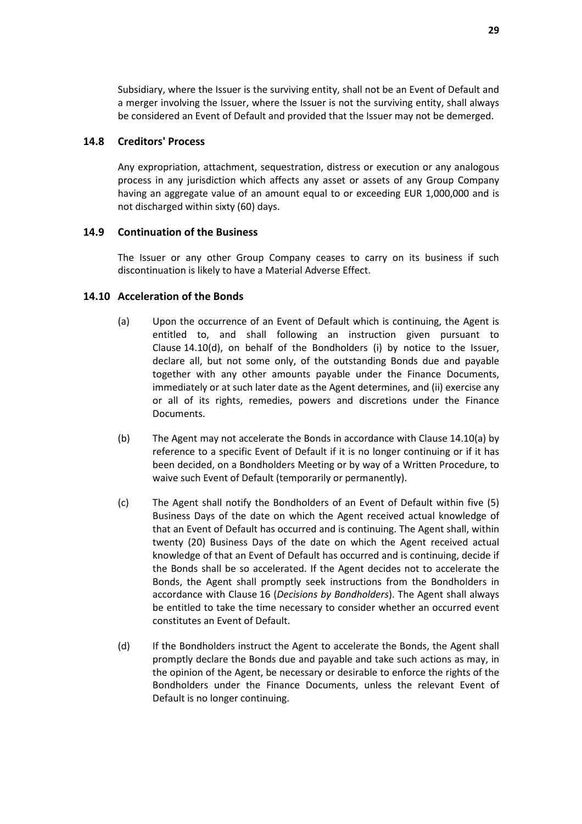Subsidiary, where the Issuer is the surviving entity, shall not be an Event of Default and a merger involving the Issuer, where the Issuer is not the surviving entity, shall always be considered an Event of Default and provided that the Issuer may not be demerged.

#### **14.8 Creditors' Process**

Any expropriation, attachment, sequestration, distress or execution or any analogous process in any jurisdiction which affects any asset or assets of any Group Company having an aggregate value of an amount equal to or exceeding EUR 1,000,000 and is not discharged within sixty (60) days.

#### **14.9 Continuation of the Business**

The Issuer or any other Group Company ceases to carry on its business if such discontinuation is likely to have a Material Adverse Effect.

#### **14.10 Acceleration of the Bonds**

- (a) Upon the occurrence of an Event of Default which is continuing, the Agent is entitled to, and shall following an instruction given pursuant to Clause 14.10(d), on behalf of the Bondholders (i) by notice to the Issuer, declare all, but not some only, of the outstanding Bonds due and payable together with any other amounts payable under the Finance Documents, immediately or at such later date as the Agent determines, and (ii) exercise any or all of its rights, remedies, powers and discretions under the Finance Documents.
- (b) The Agent may not accelerate the Bonds in accordance with Clause 14.10(a) by reference to a specific Event of Default if it is no longer continuing or if it has been decided, on a Bondholders Meeting or by way of a Written Procedure, to waive such Event of Default (temporarily or permanently).
- (c) The Agent shall notify the Bondholders of an Event of Default within five (5) Business Days of the date on which the Agent received actual knowledge of that an Event of Default has occurred and is continuing. The Agent shall, within twenty (20) Business Days of the date on which the Agent received actual knowledge of that an Event of Default has occurred and is continuing, decide if the Bonds shall be so accelerated. If the Agent decides not to accelerate the Bonds, the Agent shall promptly seek instructions from the Bondholders in accordance with Clause 16 (*Decisions by Bondholders*). The Agent shall always be entitled to take the time necessary to consider whether an occurred event constitutes an Event of Default.
- (d) If the Bondholders instruct the Agent to accelerate the Bonds, the Agent shall promptly declare the Bonds due and payable and take such actions as may, in the opinion of the Agent, be necessary or desirable to enforce the rights of the Bondholders under the Finance Documents, unless the relevant Event of Default is no longer continuing.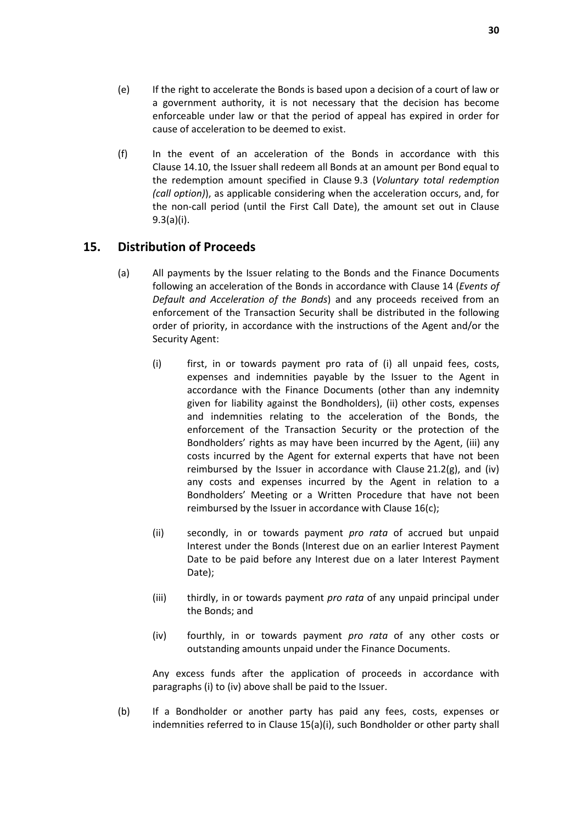- (e) If the right to accelerate the Bonds is based upon a decision of a court of law or a government authority, it is not necessary that the decision has become enforceable under law or that the period of appeal has expired in order for cause of acceleration to be deemed to exist.
- (f) In the event of an acceleration of the Bonds in accordance with this Clause 14.10, the Issuer shall redeem all Bonds at an amount per Bond equal to the redemption amount specified in Clause 9.3 (*Voluntary total redemption (call option)*), as applicable considering when the acceleration occurs, and, for the non-call period (until the First Call Date), the amount set out in Clause 9.3(a)(i).

## **15. Distribution of Proceeds**

- (a) All payments by the Issuer relating to the Bonds and the Finance Documents following an acceleration of the Bonds in accordance with Clause 14 (*Events of Default and Acceleration of the Bonds*) and any proceeds received from an enforcement of the Transaction Security shall be distributed in the following order of priority, in accordance with the instructions of the Agent and/or the Security Agent:
	- (i) first, in or towards payment pro rata of (i) all unpaid fees, costs, expenses and indemnities payable by the Issuer to the Agent in accordance with the Finance Documents (other than any indemnity given for liability against the Bondholders), (ii) other costs, expenses and indemnities relating to the acceleration of the Bonds, the enforcement of the Transaction Security or the protection of the Bondholders' rights as may have been incurred by the Agent, (iii) any costs incurred by the Agent for external experts that have not been reimbursed by the Issuer in accordance with Clause  $21.2(g)$ , and (iv) any costs and expenses incurred by the Agent in relation to a Bondholders' Meeting or a Written Procedure that have not been reimbursed by the Issuer in accordance with Clause 16(c);
	- (ii) secondly, in or towards payment *pro rata* of accrued but unpaid Interest under the Bonds (Interest due on an earlier Interest Payment Date to be paid before any Interest due on a later Interest Payment Date);
	- (iii) thirdly, in or towards payment *pro rata* of any unpaid principal under the Bonds; and
	- (iv) fourthly, in or towards payment *pro rata* of any other costs or outstanding amounts unpaid under the Finance Documents.

Any excess funds after the application of proceeds in accordance with paragraphs (i) to (iv) above shall be paid to the Issuer.

(b) If a Bondholder or another party has paid any fees, costs, expenses or indemnities referred to in Clause 15(a)(i), such Bondholder or other party shall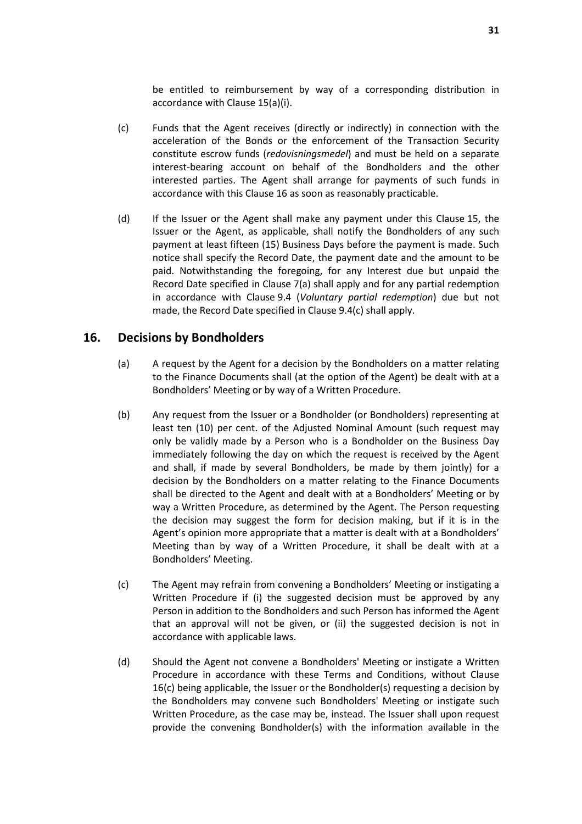be entitled to reimbursement by way of a corresponding distribution in accordance with Clause 15(a)(i).

- (c) Funds that the Agent receives (directly or indirectly) in connection with the acceleration of the Bonds or the enforcement of the Transaction Security constitute escrow funds (*redovisningsmedel*) and must be held on a separate interest-bearing account on behalf of the Bondholders and the other interested parties. The Agent shall arrange for payments of such funds in accordance with this Clause 16 as soon as reasonably practicable.
- (d) If the Issuer or the Agent shall make any payment under this Clause 15, the Issuer or the Agent, as applicable, shall notify the Bondholders of any such payment at least fifteen (15) Business Days before the payment is made. Such notice shall specify the Record Date, the payment date and the amount to be paid. Notwithstanding the foregoing, for any Interest due but unpaid the Record Date specified in Clause 7(a) shall apply and for any partial redemption in accordance with Clause 9.4 (*Voluntary partial redemption*) due but not made, the Record Date specified in Clause 9.4(c) shall apply.

## **16. Decisions by Bondholders**

- (a) A request by the Agent for a decision by the Bondholders on a matter relating to the Finance Documents shall (at the option of the Agent) be dealt with at a Bondholders' Meeting or by way of a Written Procedure.
- (b) Any request from the Issuer or a Bondholder (or Bondholders) representing at least ten (10) per cent. of the Adjusted Nominal Amount (such request may only be validly made by a Person who is a Bondholder on the Business Day immediately following the day on which the request is received by the Agent and shall, if made by several Bondholders, be made by them jointly) for a decision by the Bondholders on a matter relating to the Finance Documents shall be directed to the Agent and dealt with at a Bondholders' Meeting or by way a Written Procedure, as determined by the Agent. The Person requesting the decision may suggest the form for decision making, but if it is in the Agent's opinion more appropriate that a matter is dealt with at a Bondholders' Meeting than by way of a Written Procedure, it shall be dealt with at a Bondholders' Meeting.
- (c) The Agent may refrain from convening a Bondholders' Meeting or instigating a Written Procedure if (i) the suggested decision must be approved by any Person in addition to the Bondholders and such Person has informed the Agent that an approval will not be given, or (ii) the suggested decision is not in accordance with applicable laws.
- (d) Should the Agent not convene a Bondholders' Meeting or instigate a Written Procedure in accordance with these Terms and Conditions, without Clause 16(c) being applicable, the Issuer or the Bondholder(s) requesting a decision by the Bondholders may convene such Bondholders' Meeting or instigate such Written Procedure, as the case may be, instead. The Issuer shall upon request provide the convening Bondholder(s) with the information available in the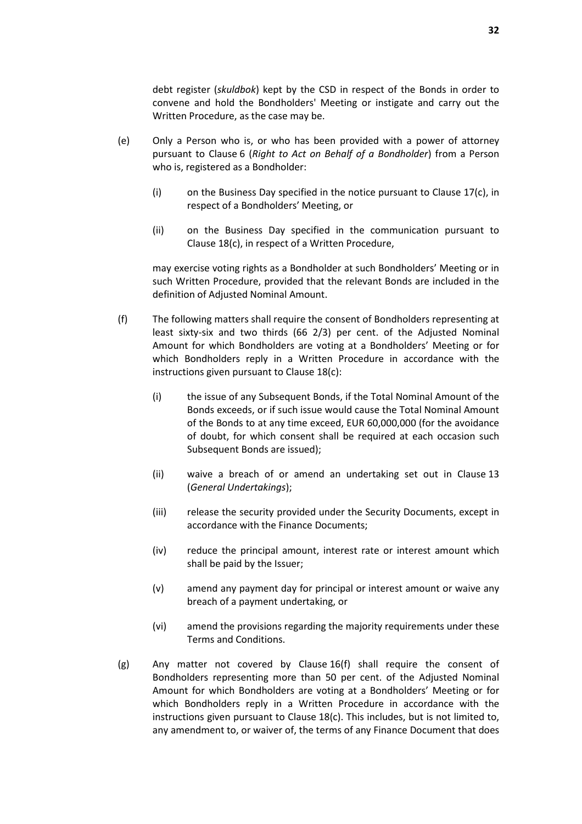debt register (*skuldbok*) kept by the CSD in respect of the Bonds in order to convene and hold the Bondholders' Meeting or instigate and carry out the Written Procedure, as the case may be.

- (e) Only a Person who is, or who has been provided with a power of attorney pursuant to Clause 6 (*Right to Act on Behalf of a Bondholder*) from a Person who is, registered as a Bondholder:
	- (i) on the Business Day specified in the notice pursuant to Clause 17(c), in respect of a Bondholders' Meeting, or
	- (ii) on the Business Day specified in the communication pursuant to Clause 18(c), in respect of a Written Procedure,

may exercise voting rights as a Bondholder at such Bondholders' Meeting or in such Written Procedure, provided that the relevant Bonds are included in the definition of Adjusted Nominal Amount.

- (f) The following matters shall require the consent of Bondholders representing at least sixty-six and two thirds (66 2/3) per cent. of the Adjusted Nominal Amount for which Bondholders are voting at a Bondholders' Meeting or for which Bondholders reply in a Written Procedure in accordance with the instructions given pursuant to Clause 18(c):
	- (i) the issue of any Subsequent Bonds, if the Total Nominal Amount of the Bonds exceeds, or if such issue would cause the Total Nominal Amount of the Bonds to at any time exceed, EUR 60,000,000 (for the avoidance of doubt, for which consent shall be required at each occasion such Subsequent Bonds are issued);
	- (ii) waive a breach of or amend an undertaking set out in Clause 13 (*General Undertakings*);
	- (iii) release the security provided under the Security Documents, except in accordance with the Finance Documents;
	- (iv) reduce the principal amount, interest rate or interest amount which shall be paid by the Issuer;
	- (v) amend any payment day for principal or interest amount or waive any breach of a payment undertaking, or
	- (vi) amend the provisions regarding the majority requirements under these Terms and Conditions.
- (g) Any matter not covered by Clause 16(f) shall require the consent of Bondholders representing more than 50 per cent. of the Adjusted Nominal Amount for which Bondholders are voting at a Bondholders' Meeting or for which Bondholders reply in a Written Procedure in accordance with the instructions given pursuant to Clause 18(c). This includes, but is not limited to, any amendment to, or waiver of, the terms of any Finance Document that does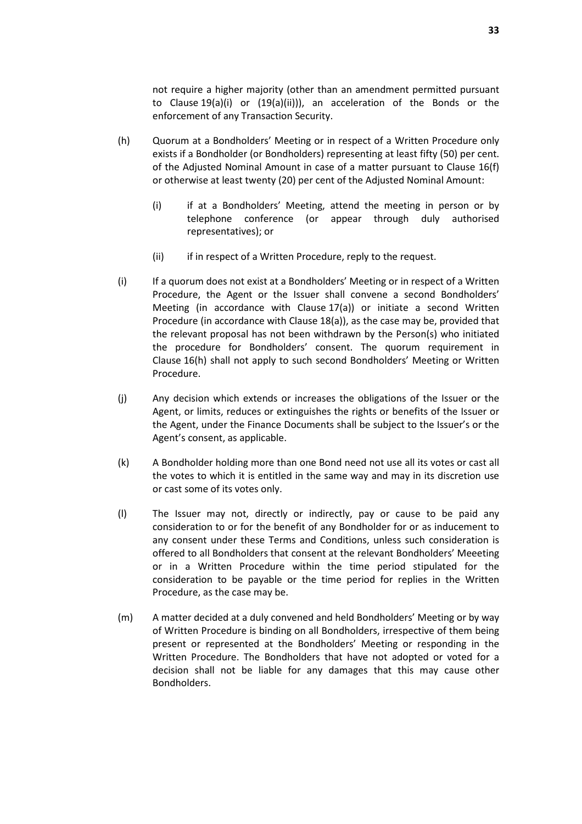not require a higher majority (other than an amendment permitted pursuant to Clause 19(a)(i) or (19(a)(ii))), an acceleration of the Bonds or the enforcement of any Transaction Security.

- (h) Quorum at a Bondholders' Meeting or in respect of a Written Procedure only exists if a Bondholder (or Bondholders) representing at least fifty (50) per cent. of the Adjusted Nominal Amount in case of a matter pursuant to Clause 16(f) or otherwise at least twenty (20) per cent of the Adjusted Nominal Amount:
	- (i) if at a Bondholders' Meeting, attend the meeting in person or by telephone conference (or appear through duly authorised representatives); or
	- (ii) if in respect of a Written Procedure, reply to the request.
- (i) If a quorum does not exist at a Bondholders' Meeting or in respect of a Written Procedure, the Agent or the Issuer shall convene a second Bondholders' Meeting (in accordance with Clause 17(a)) or initiate a second Written Procedure (in accordance with Clause 18(a)), as the case may be, provided that the relevant proposal has not been withdrawn by the Person(s) who initiated the procedure for Bondholders' consent. The quorum requirement in Clause 16(h) shall not apply to such second Bondholders' Meeting or Written Procedure.
- (j) Any decision which extends or increases the obligations of the Issuer or the Agent, or limits, reduces or extinguishes the rights or benefits of the Issuer or the Agent, under the Finance Documents shall be subject to the Issuer's or the Agent's consent, as applicable.
- (k) A Bondholder holding more than one Bond need not use all its votes or cast all the votes to which it is entitled in the same way and may in its discretion use or cast some of its votes only.
- (l) The Issuer may not, directly or indirectly, pay or cause to be paid any consideration to or for the benefit of any Bondholder for or as inducement to any consent under these Terms and Conditions, unless such consideration is offered to all Bondholders that consent at the relevant Bondholders' Meeeting or in a Written Procedure within the time period stipulated for the consideration to be payable or the time period for replies in the Written Procedure, as the case may be.
- (m) A matter decided at a duly convened and held Bondholders' Meeting or by way of Written Procedure is binding on all Bondholders, irrespective of them being present or represented at the Bondholders' Meeting or responding in the Written Procedure. The Bondholders that have not adopted or voted for a decision shall not be liable for any damages that this may cause other Bondholders.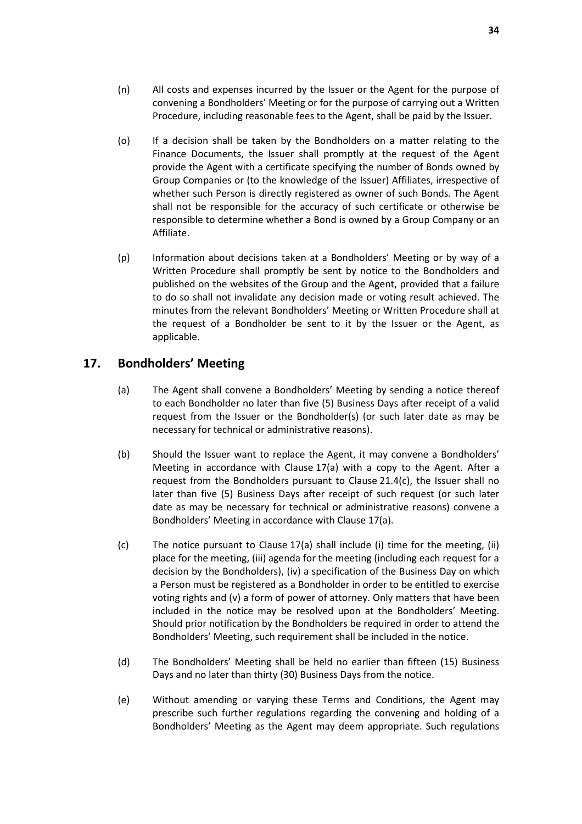- (n) All costs and expenses incurred by the Issuer or the Agent for the purpose of convening a Bondholders' Meeting or for the purpose of carrying out a Written Procedure, including reasonable fees to the Agent, shall be paid by the Issuer.
- (o) If a decision shall be taken by the Bondholders on a matter relating to the Finance Documents, the Issuer shall promptly at the request of the Agent provide the Agent with a certificate specifying the number of Bonds owned by Group Companies or (to the knowledge of the Issuer) Affiliates, irrespective of whether such Person is directly registered as owner of such Bonds. The Agent shall not be responsible for the accuracy of such certificate or otherwise be responsible to determine whether a Bond is owned by a Group Company or an Affiliate.
- (p) Information about decisions taken at a Bondholders' Meeting or by way of a Written Procedure shall promptly be sent by notice to the Bondholders and published on the websites of the Group and the Agent, provided that a failure to do so shall not invalidate any decision made or voting result achieved. The minutes from the relevant Bondholders' Meeting or Written Procedure shall at the request of a Bondholder be sent to it by the Issuer or the Agent, as applicable.

# **17. Bondholders' Meeting**

- (a) The Agent shall convene a Bondholders' Meeting by sending a notice thereof to each Bondholder no later than five (5) Business Days after receipt of a valid request from the Issuer or the Bondholder(s) (or such later date as may be necessary for technical or administrative reasons).
- (b) Should the Issuer want to replace the Agent, it may convene a Bondholders' Meeting in accordance with Clause 17(a) with a copy to the Agent. After a request from the Bondholders pursuant to Clause 21.4(c), the Issuer shall no later than five (5) Business Days after receipt of such request (or such later date as may be necessary for technical or administrative reasons) convene a Bondholders' Meeting in accordance with Clause 17(a).
- (c) The notice pursuant to Clause 17(a) shall include (i) time for the meeting, (ii) place for the meeting, (iii) agenda for the meeting (including each request for a decision by the Bondholders), (iv) a specification of the Business Day on which a Person must be registered as a Bondholder in order to be entitled to exercise voting rights and (v) a form of power of attorney. Only matters that have been included in the notice may be resolved upon at the Bondholders' Meeting. Should prior notification by the Bondholders be required in order to attend the Bondholders' Meeting, such requirement shall be included in the notice.
- (d) The Bondholders' Meeting shall be held no earlier than fifteen (15) Business Days and no later than thirty (30) Business Days from the notice.
- (e) Without amending or varying these Terms and Conditions, the Agent may prescribe such further regulations regarding the convening and holding of a Bondholders' Meeting as the Agent may deem appropriate. Such regulations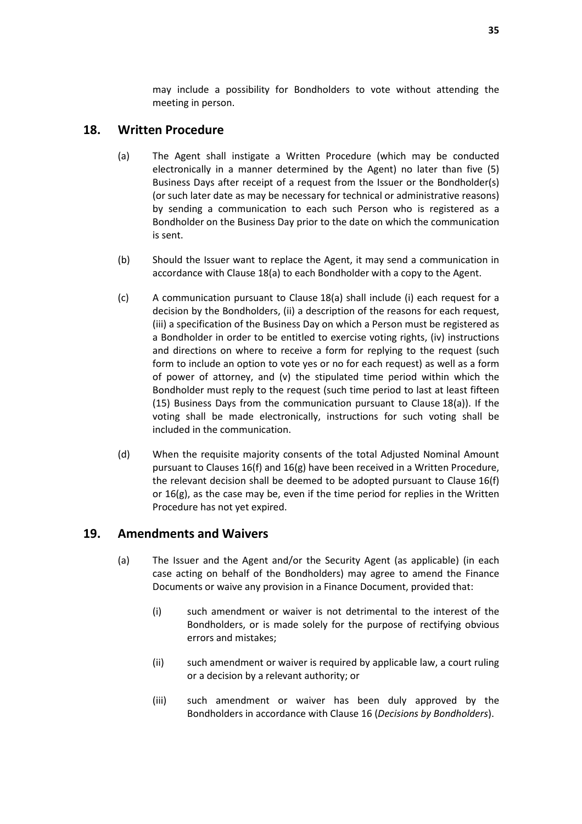may include a possibility for Bondholders to vote without attending the meeting in person.

## **18. Written Procedure**

- (a) The Agent shall instigate a Written Procedure (which may be conducted electronically in a manner determined by the Agent) no later than five (5) Business Days after receipt of a request from the Issuer or the Bondholder(s) (or such later date as may be necessary for technical or administrative reasons) by sending a communication to each such Person who is registered as a Bondholder on the Business Day prior to the date on which the communication is sent.
- (b) Should the Issuer want to replace the Agent, it may send a communication in accordance with Clause 18(a) to each Bondholder with a copy to the Agent.
- (c) A communication pursuant to Clause 18(a) shall include (i) each request for a decision by the Bondholders, (ii) a description of the reasons for each request, (iii) a specification of the Business Day on which a Person must be registered as a Bondholder in order to be entitled to exercise voting rights, (iv) instructions and directions on where to receive a form for replying to the request (such form to include an option to vote yes or no for each request) as well as a form of power of attorney, and (v) the stipulated time period within which the Bondholder must reply to the request (such time period to last at least fifteen (15) Business Days from the communication pursuant to Clause 18(a)). If the voting shall be made electronically, instructions for such voting shall be included in the communication.
- (d) When the requisite majority consents of the total Adjusted Nominal Amount pursuant to Clauses 16(f) and 16(g) have been received in a Written Procedure, the relevant decision shall be deemed to be adopted pursuant to Clause 16(f) or 16(g), as the case may be, even if the time period for replies in the Written Procedure has not yet expired.

## **19. Amendments and Waivers**

- (a) The Issuer and the Agent and/or the Security Agent (as applicable) (in each case acting on behalf of the Bondholders) may agree to amend the Finance Documents or waive any provision in a Finance Document, provided that:
	- (i) such amendment or waiver is not detrimental to the interest of the Bondholders, or is made solely for the purpose of rectifying obvious errors and mistakes;
	- (ii) such amendment or waiver is required by applicable law, a court ruling or a decision by a relevant authority; or
	- (iii) such amendment or waiver has been duly approved by the Bondholders in accordance with Clause 16 (*Decisions by Bondholders*).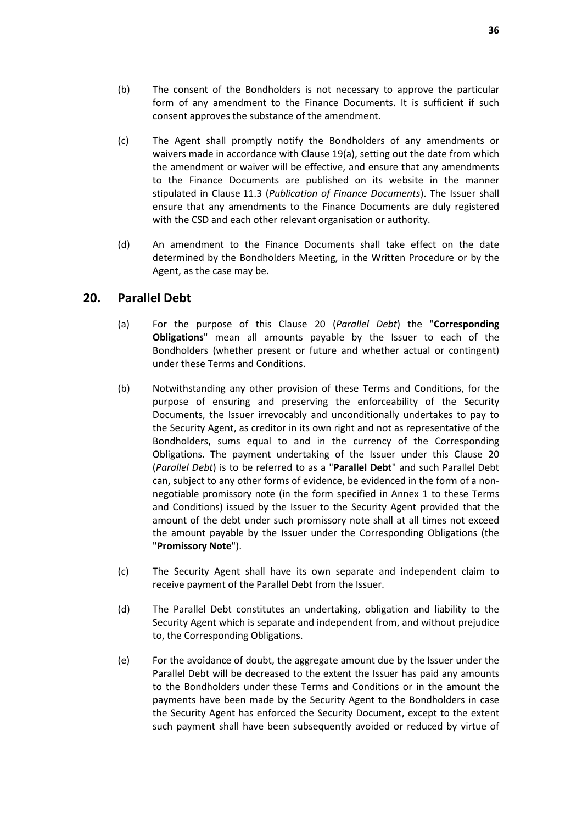- (b) The consent of the Bondholders is not necessary to approve the particular form of any amendment to the Finance Documents. It is sufficient if such consent approves the substance of the amendment.
- (c) The Agent shall promptly notify the Bondholders of any amendments or waivers made in accordance with Clause 19(a), setting out the date from which the amendment or waiver will be effective, and ensure that any amendments to the Finance Documents are published on its website in the manner stipulated in Clause 11.3 (*Publication of Finance Documents*). The Issuer shall ensure that any amendments to the Finance Documents are duly registered with the CSD and each other relevant organisation or authority.
- (d) An amendment to the Finance Documents shall take effect on the date determined by the Bondholders Meeting, in the Written Procedure or by the Agent, as the case may be.

## **20. Parallel Debt**

- (a) For the purpose of this Clause 20 (*Parallel Debt*) the "**Corresponding Obligations**" mean all amounts payable by the Issuer to each of the Bondholders (whether present or future and whether actual or contingent) under these Terms and Conditions.
- (b) Notwithstanding any other provision of these Terms and Conditions, for the purpose of ensuring and preserving the enforceability of the Security Documents, the Issuer irrevocably and unconditionally undertakes to pay to the Security Agent, as creditor in its own right and not as representative of the Bondholders, sums equal to and in the currency of the Corresponding Obligations. The payment undertaking of the Issuer under this Clause 20 (*Parallel Debt*) is to be referred to as a "**Parallel Debt**" and such Parallel Debt can, subject to any other forms of evidence, be evidenced in the form of a nonnegotiable promissory note (in the form specified in Annex 1 to these Terms and Conditions) issued by the Issuer to the Security Agent provided that the amount of the debt under such promissory note shall at all times not exceed the amount payable by the Issuer under the Corresponding Obligations (the "**Promissory Note**").
- (c) The Security Agent shall have its own separate and independent claim to receive payment of the Parallel Debt from the Issuer.
- (d) The Parallel Debt constitutes an undertaking, obligation and liability to the Security Agent which is separate and independent from, and without prejudice to, the Corresponding Obligations.
- (e) For the avoidance of doubt, the aggregate amount due by the Issuer under the Parallel Debt will be decreased to the extent the Issuer has paid any amounts to the Bondholders under these Terms and Conditions or in the amount the payments have been made by the Security Agent to the Bondholders in case the Security Agent has enforced the Security Document, except to the extent such payment shall have been subsequently avoided or reduced by virtue of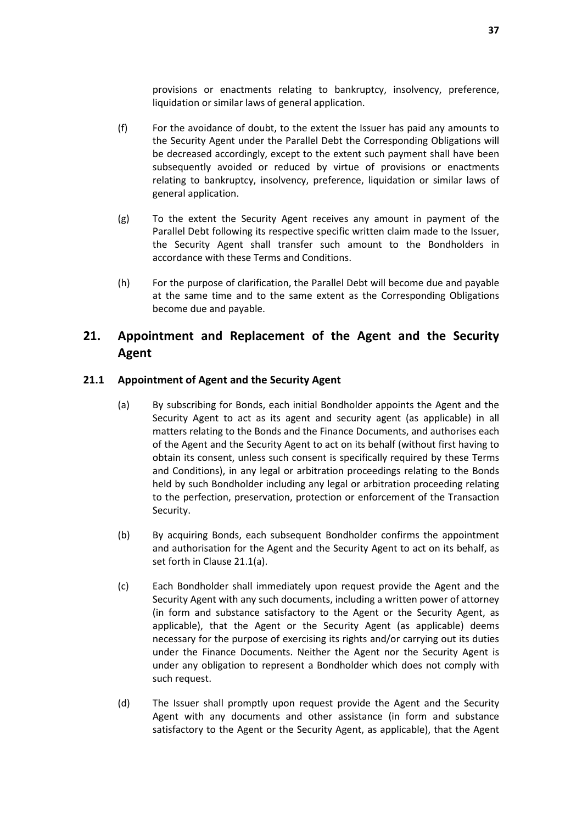provisions or enactments relating to bankruptcy, insolvency, preference, liquidation or similar laws of general application.

- (f) For the avoidance of doubt, to the extent the Issuer has paid any amounts to the Security Agent under the Parallel Debt the Corresponding Obligations will be decreased accordingly, except to the extent such payment shall have been subsequently avoided or reduced by virtue of provisions or enactments relating to bankruptcy, insolvency, preference, liquidation or similar laws of general application.
- (g) To the extent the Security Agent receives any amount in payment of the Parallel Debt following its respective specific written claim made to the Issuer, the Security Agent shall transfer such amount to the Bondholders in accordance with these Terms and Conditions.
- (h) For the purpose of clarification, the Parallel Debt will become due and payable at the same time and to the same extent as the Corresponding Obligations become due and payable.

# **21. Appointment and Replacement of the Agent and the Security Agent**

## **21.1 Appointment of Agent and the Security Agent**

- (a) By subscribing for Bonds, each initial Bondholder appoints the Agent and the Security Agent to act as its agent and security agent (as applicable) in all matters relating to the Bonds and the Finance Documents, and authorises each of the Agent and the Security Agent to act on its behalf (without first having to obtain its consent, unless such consent is specifically required by these Terms and Conditions), in any legal or arbitration proceedings relating to the Bonds held by such Bondholder including any legal or arbitration proceeding relating to the perfection, preservation, protection or enforcement of the Transaction Security.
- (b) By acquiring Bonds, each subsequent Bondholder confirms the appointment and authorisation for the Agent and the Security Agent to act on its behalf, as set forth in Clause 21.1(a).
- (c) Each Bondholder shall immediately upon request provide the Agent and the Security Agent with any such documents, including a written power of attorney (in form and substance satisfactory to the Agent or the Security Agent, as applicable), that the Agent or the Security Agent (as applicable) deems necessary for the purpose of exercising its rights and/or carrying out its duties under the Finance Documents. Neither the Agent nor the Security Agent is under any obligation to represent a Bondholder which does not comply with such request.
- (d) The Issuer shall promptly upon request provide the Agent and the Security Agent with any documents and other assistance (in form and substance satisfactory to the Agent or the Security Agent, as applicable), that the Agent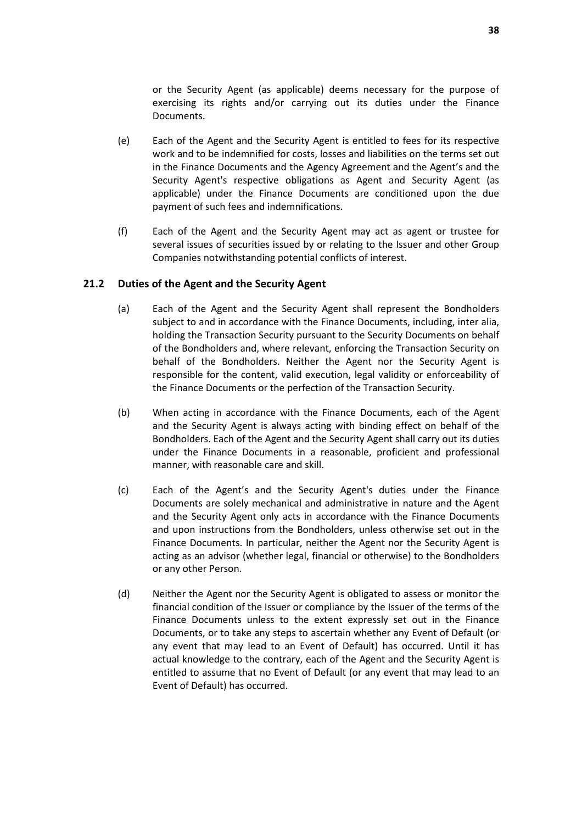or the Security Agent (as applicable) deems necessary for the purpose of exercising its rights and/or carrying out its duties under the Finance Documents.

- (e) Each of the Agent and the Security Agent is entitled to fees for its respective work and to be indemnified for costs, losses and liabilities on the terms set out in the Finance Documents and the Agency Agreement and the Agent's and the Security Agent's respective obligations as Agent and Security Agent (as applicable) under the Finance Documents are conditioned upon the due payment of such fees and indemnifications.
- (f) Each of the Agent and the Security Agent may act as agent or trustee for several issues of securities issued by or relating to the Issuer and other Group Companies notwithstanding potential conflicts of interest.

#### **21.2 Duties of the Agent and the Security Agent**

- (a) Each of the Agent and the Security Agent shall represent the Bondholders subject to and in accordance with the Finance Documents, including, inter alia, holding the Transaction Security pursuant to the Security Documents on behalf of the Bondholders and, where relevant, enforcing the Transaction Security on behalf of the Bondholders. Neither the Agent nor the Security Agent is responsible for the content, valid execution, legal validity or enforceability of the Finance Documents or the perfection of the Transaction Security.
- (b) When acting in accordance with the Finance Documents, each of the Agent and the Security Agent is always acting with binding effect on behalf of the Bondholders. Each of the Agent and the Security Agent shall carry out its duties under the Finance Documents in a reasonable, proficient and professional manner, with reasonable care and skill.
- (c) Each of the Agent's and the Security Agent's duties under the Finance Documents are solely mechanical and administrative in nature and the Agent and the Security Agent only acts in accordance with the Finance Documents and upon instructions from the Bondholders, unless otherwise set out in the Finance Documents. In particular, neither the Agent nor the Security Agent is acting as an advisor (whether legal, financial or otherwise) to the Bondholders or any other Person.
- (d) Neither the Agent nor the Security Agent is obligated to assess or monitor the financial condition of the Issuer or compliance by the Issuer of the terms of the Finance Documents unless to the extent expressly set out in the Finance Documents, or to take any steps to ascertain whether any Event of Default (or any event that may lead to an Event of Default) has occurred. Until it has actual knowledge to the contrary, each of the Agent and the Security Agent is entitled to assume that no Event of Default (or any event that may lead to an Event of Default) has occurred.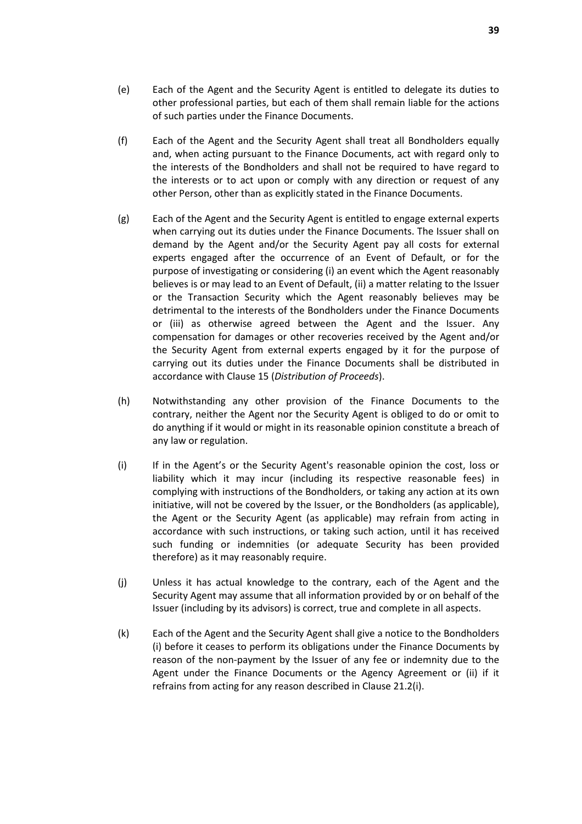- (e) Each of the Agent and the Security Agent is entitled to delegate its duties to other professional parties, but each of them shall remain liable for the actions of such parties under the Finance Documents.
- (f) Each of the Agent and the Security Agent shall treat all Bondholders equally and, when acting pursuant to the Finance Documents, act with regard only to the interests of the Bondholders and shall not be required to have regard to the interests or to act upon or comply with any direction or request of any other Person, other than as explicitly stated in the Finance Documents.
- (g) Each of the Agent and the Security Agent is entitled to engage external experts when carrying out its duties under the Finance Documents. The Issuer shall on demand by the Agent and/or the Security Agent pay all costs for external experts engaged after the occurrence of an Event of Default, or for the purpose of investigating or considering (i) an event which the Agent reasonably believes is or may lead to an Event of Default, (ii) a matter relating to the Issuer or the Transaction Security which the Agent reasonably believes may be detrimental to the interests of the Bondholders under the Finance Documents or (iii) as otherwise agreed between the Agent and the Issuer. Any compensation for damages or other recoveries received by the Agent and/or the Security Agent from external experts engaged by it for the purpose of carrying out its duties under the Finance Documents shall be distributed in accordance with Clause 15 (*Distribution of Proceeds*).
- (h) Notwithstanding any other provision of the Finance Documents to the contrary, neither the Agent nor the Security Agent is obliged to do or omit to do anything if it would or might in its reasonable opinion constitute a breach of any law or regulation.
- (i) If in the Agent's or the Security Agent's reasonable opinion the cost, loss or liability which it may incur (including its respective reasonable fees) in complying with instructions of the Bondholders, or taking any action at its own initiative, will not be covered by the Issuer, or the Bondholders (as applicable), the Agent or the Security Agent (as applicable) may refrain from acting in accordance with such instructions, or taking such action, until it has received such funding or indemnities (or adequate Security has been provided therefore) as it may reasonably require.
- (j) Unless it has actual knowledge to the contrary, each of the Agent and the Security Agent may assume that all information provided by or on behalf of the Issuer (including by its advisors) is correct, true and complete in all aspects.
- (k) Each of the Agent and the Security Agent shall give a notice to the Bondholders (i) before it ceases to perform its obligations under the Finance Documents by reason of the non-payment by the Issuer of any fee or indemnity due to the Agent under the Finance Documents or the Agency Agreement or (ii) if it refrains from acting for any reason described in Clause 21.2(i).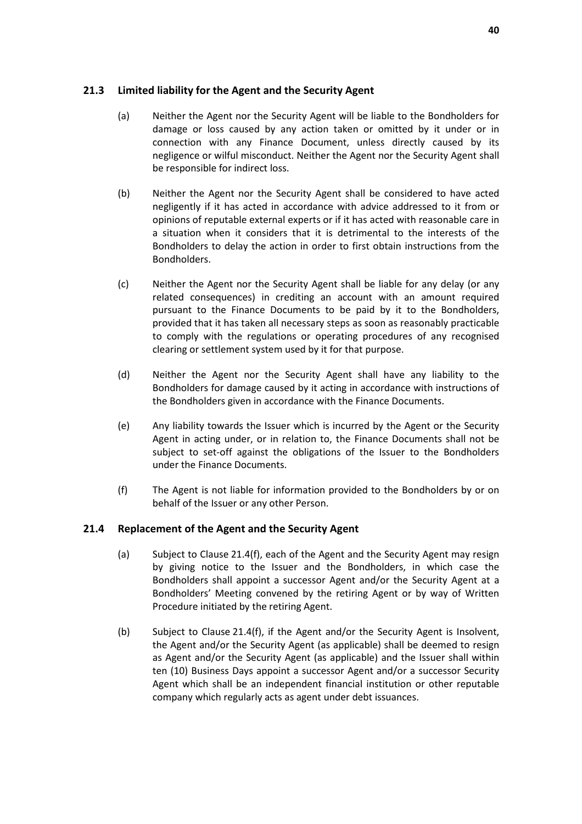## **21.3 Limited liability for the Agent and the Security Agent**

- (a) Neither the Agent nor the Security Agent will be liable to the Bondholders for damage or loss caused by any action taken or omitted by it under or in connection with any Finance Document, unless directly caused by its negligence or wilful misconduct. Neither the Agent nor the Security Agent shall be responsible for indirect loss.
- (b) Neither the Agent nor the Security Agent shall be considered to have acted negligently if it has acted in accordance with advice addressed to it from or opinions of reputable external experts or if it has acted with reasonable care in a situation when it considers that it is detrimental to the interests of the Bondholders to delay the action in order to first obtain instructions from the Bondholders.
- (c) Neither the Agent nor the Security Agent shall be liable for any delay (or any related consequences) in crediting an account with an amount required pursuant to the Finance Documents to be paid by it to the Bondholders, provided that it has taken all necessary steps as soon as reasonably practicable to comply with the regulations or operating procedures of any recognised clearing or settlement system used by it for that purpose.
- (d) Neither the Agent nor the Security Agent shall have any liability to the Bondholders for damage caused by it acting in accordance with instructions of the Bondholders given in accordance with the Finance Documents.
- (e) Any liability towards the Issuer which is incurred by the Agent or the Security Agent in acting under, or in relation to, the Finance Documents shall not be subject to set-off against the obligations of the Issuer to the Bondholders under the Finance Documents.
- (f) The Agent is not liable for information provided to the Bondholders by or on behalf of the Issuer or any other Person.

## **21.4 Replacement of the Agent and the Security Agent**

- (a) Subject to Clause 21.4(f), each of the Agent and the Security Agent may resign by giving notice to the Issuer and the Bondholders, in which case the Bondholders shall appoint a successor Agent and/or the Security Agent at a Bondholders' Meeting convened by the retiring Agent or by way of Written Procedure initiated by the retiring Agent.
- (b) Subject to Clause 21.4(f), if the Agent and/or the Security Agent is Insolvent, the Agent and/or the Security Agent (as applicable) shall be deemed to resign as Agent and/or the Security Agent (as applicable) and the Issuer shall within ten (10) Business Days appoint a successor Agent and/or a successor Security Agent which shall be an independent financial institution or other reputable company which regularly acts as agent under debt issuances.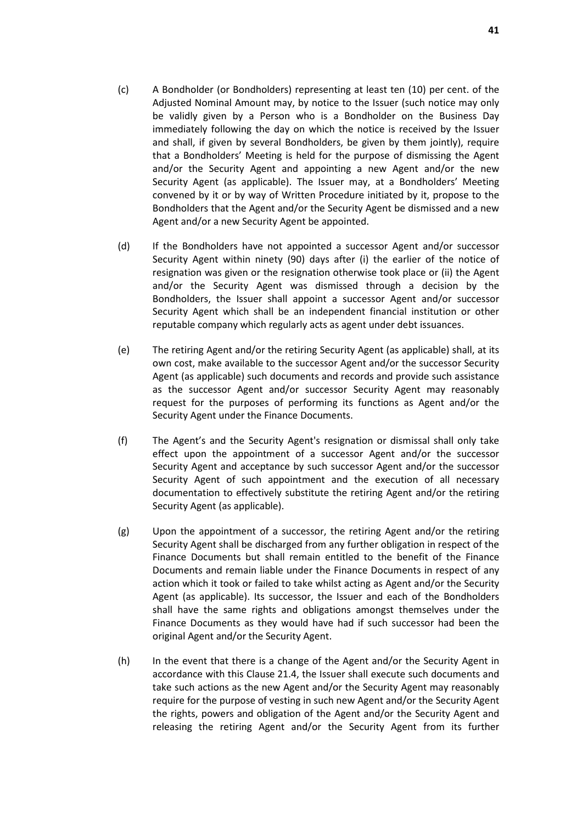- (c) A Bondholder (or Bondholders) representing at least ten (10) per cent. of the Adjusted Nominal Amount may, by notice to the Issuer (such notice may only be validly given by a Person who is a Bondholder on the Business Day immediately following the day on which the notice is received by the Issuer and shall, if given by several Bondholders, be given by them jointly), require that a Bondholders' Meeting is held for the purpose of dismissing the Agent and/or the Security Agent and appointing a new Agent and/or the new Security Agent (as applicable). The Issuer may, at a Bondholders' Meeting convened by it or by way of Written Procedure initiated by it, propose to the Bondholders that the Agent and/or the Security Agent be dismissed and a new Agent and/or a new Security Agent be appointed.
- (d) If the Bondholders have not appointed a successor Agent and/or successor Security Agent within ninety (90) days after (i) the earlier of the notice of resignation was given or the resignation otherwise took place or (ii) the Agent and/or the Security Agent was dismissed through a decision by the Bondholders, the Issuer shall appoint a successor Agent and/or successor Security Agent which shall be an independent financial institution or other reputable company which regularly acts as agent under debt issuances.
- (e) The retiring Agent and/or the retiring Security Agent (as applicable) shall, at its own cost, make available to the successor Agent and/or the successor Security Agent (as applicable) such documents and records and provide such assistance as the successor Agent and/or successor Security Agent may reasonably request for the purposes of performing its functions as Agent and/or the Security Agent under the Finance Documents.
- (f) The Agent's and the Security Agent's resignation or dismissal shall only take effect upon the appointment of a successor Agent and/or the successor Security Agent and acceptance by such successor Agent and/or the successor Security Agent of such appointment and the execution of all necessary documentation to effectively substitute the retiring Agent and/or the retiring Security Agent (as applicable).
- (g) Upon the appointment of a successor, the retiring Agent and/or the retiring Security Agent shall be discharged from any further obligation in respect of the Finance Documents but shall remain entitled to the benefit of the Finance Documents and remain liable under the Finance Documents in respect of any action which it took or failed to take whilst acting as Agent and/or the Security Agent (as applicable). Its successor, the Issuer and each of the Bondholders shall have the same rights and obligations amongst themselves under the Finance Documents as they would have had if such successor had been the original Agent and/or the Security Agent.
- (h) In the event that there is a change of the Agent and/or the Security Agent in accordance with this Clause 21.4, the Issuer shall execute such documents and take such actions as the new Agent and/or the Security Agent may reasonably require for the purpose of vesting in such new Agent and/or the Security Agent the rights, powers and obligation of the Agent and/or the Security Agent and releasing the retiring Agent and/or the Security Agent from its further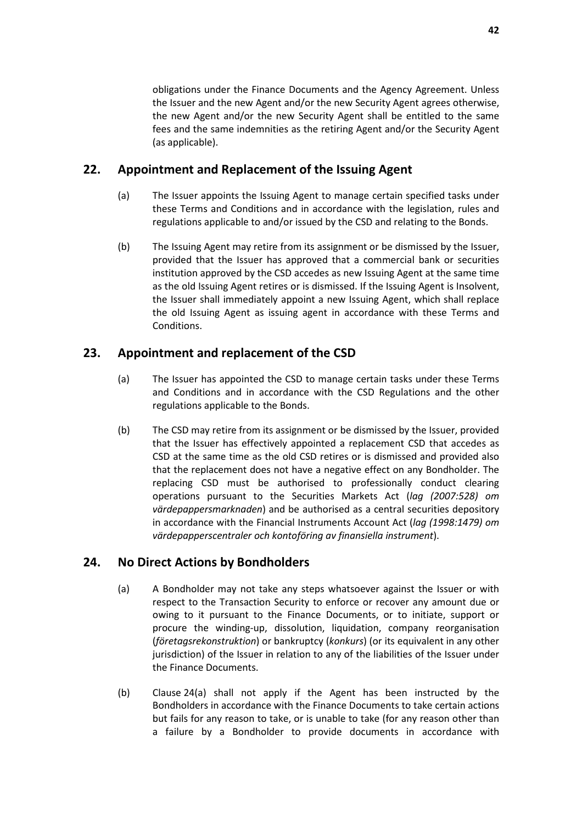obligations under the Finance Documents and the Agency Agreement. Unless the Issuer and the new Agent and/or the new Security Agent agrees otherwise, the new Agent and/or the new Security Agent shall be entitled to the same fees and the same indemnities as the retiring Agent and/or the Security Agent (as applicable).

# **22. Appointment and Replacement of the Issuing Agent**

- (a) The Issuer appoints the Issuing Agent to manage certain specified tasks under these Terms and Conditions and in accordance with the legislation, rules and regulations applicable to and/or issued by the CSD and relating to the Bonds.
- (b) The Issuing Agent may retire from its assignment or be dismissed by the Issuer, provided that the Issuer has approved that a commercial bank or securities institution approved by the CSD accedes as new Issuing Agent at the same time as the old Issuing Agent retires or is dismissed. If the Issuing Agent is Insolvent, the Issuer shall immediately appoint a new Issuing Agent, which shall replace the old Issuing Agent as issuing agent in accordance with these Terms and Conditions.

# **23. Appointment and replacement of the CSD**

- (a) The Issuer has appointed the CSD to manage certain tasks under these Terms and Conditions and in accordance with the CSD Regulations and the other regulations applicable to the Bonds.
- (b) The CSD may retire from its assignment or be dismissed by the Issuer, provided that the Issuer has effectively appointed a replacement CSD that accedes as CSD at the same time as the old CSD retires or is dismissed and provided also that the replacement does not have a negative effect on any Bondholder. The replacing CSD must be authorised to professionally conduct clearing operations pursuant to the Securities Markets Act (*lag (2007:528) om värdepappersmarknaden*) and be authorised as a central securities depository in accordance with the Financial Instruments Account Act (*lag (1998:1479) om värdepapperscentraler och kontoföring av finansiella instrument*).

# **24. No Direct Actions by Bondholders**

- (a) A Bondholder may not take any steps whatsoever against the Issuer or with respect to the Transaction Security to enforce or recover any amount due or owing to it pursuant to the Finance Documents, or to initiate, support or procure the winding-up, dissolution, liquidation, company reorganisation (*företagsrekonstruktion*) or bankruptcy (*konkurs*) (or its equivalent in any other jurisdiction) of the Issuer in relation to any of the liabilities of the Issuer under the Finance Documents.
- (b) Clause 24(a) shall not apply if the Agent has been instructed by the Bondholders in accordance with the Finance Documents to take certain actions but fails for any reason to take, or is unable to take (for any reason other than a failure by a Bondholder to provide documents in accordance with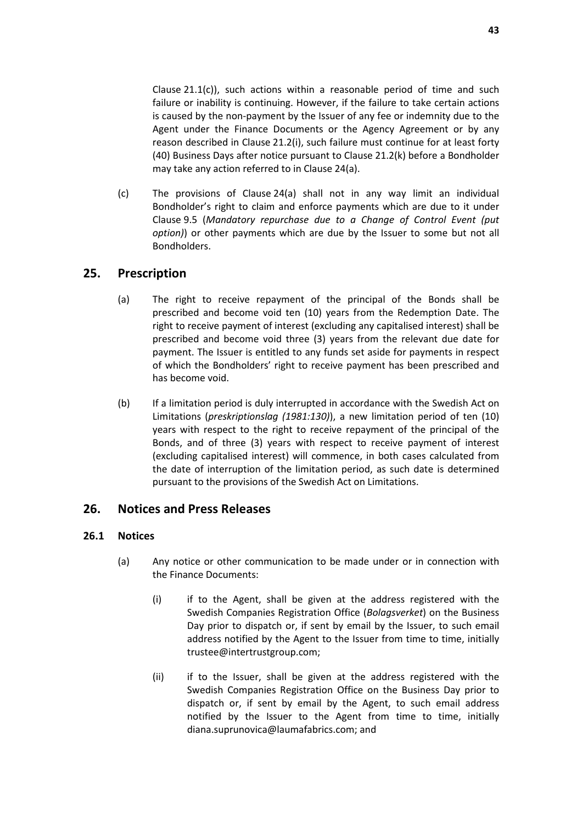Clause 21.1(c)), such actions within a reasonable period of time and such failure or inability is continuing. However, if the failure to take certain actions is caused by the non-payment by the Issuer of any fee or indemnity due to the Agent under the Finance Documents or the Agency Agreement or by any reason described in Clause 21.2(i), such failure must continue for at least forty (40) Business Days after notice pursuant to Clause 21.2(k) before a Bondholder may take any action referred to in Clause 24(a).

(c) The provisions of Clause 24(a) shall not in any way limit an individual Bondholder's right to claim and enforce payments which are due to it under Clause 9.5 (*Mandatory repurchase due to a Change of Control Event (put option)*) or other payments which are due by the Issuer to some but not all Bondholders.

# **25. Prescription**

- (a) The right to receive repayment of the principal of the Bonds shall be prescribed and become void ten (10) years from the Redemption Date. The right to receive payment of interest (excluding any capitalised interest) shall be prescribed and become void three (3) years from the relevant due date for payment. The Issuer is entitled to any funds set aside for payments in respect of which the Bondholders' right to receive payment has been prescribed and has become void.
- (b) If a limitation period is duly interrupted in accordance with the Swedish Act on Limitations (*preskriptionslag (1981:130)*), a new limitation period of ten (10) years with respect to the right to receive repayment of the principal of the Bonds, and of three (3) years with respect to receive payment of interest (excluding capitalised interest) will commence, in both cases calculated from the date of interruption of the limitation period, as such date is determined pursuant to the provisions of the Swedish Act on Limitations.

# **26. Notices and Press Releases**

## **26.1 Notices**

- (a) Any notice or other communication to be made under or in connection with the Finance Documents:
	- (i) if to the Agent, shall be given at the address registered with the Swedish Companies Registration Office (*Bolagsverket*) on the Business Day prior to dispatch or, if sent by email by the Issuer, to such email address notified by the Agent to the Issuer from time to time, initially trustee@intertrustgroup.com;
	- (ii) if to the Issuer, shall be given at the address registered with the Swedish Companies Registration Office on the Business Day prior to dispatch or, if sent by email by the Agent, to such email address notified by the Issuer to the Agent from time to time, initially diana.suprunovica@laumafabrics.com; and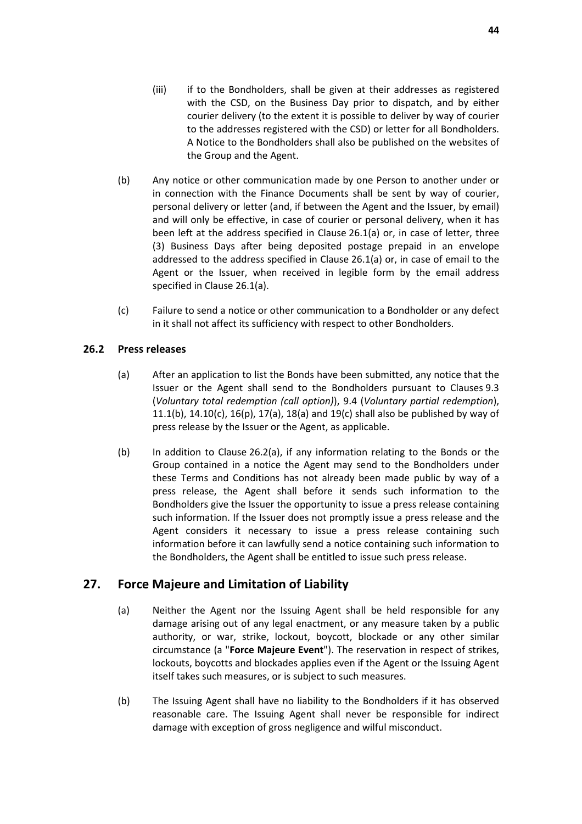- (iii) if to the Bondholders, shall be given at their addresses as registered with the CSD, on the Business Day prior to dispatch, and by either courier delivery (to the extent it is possible to deliver by way of courier to the addresses registered with the CSD) or letter for all Bondholders. A Notice to the Bondholders shall also be published on the websites of the Group and the Agent.
- (b) Any notice or other communication made by one Person to another under or in connection with the Finance Documents shall be sent by way of courier, personal delivery or letter (and, if between the Agent and the Issuer, by email) and will only be effective, in case of courier or personal delivery, when it has been left at the address specified in Clause 26.1(a) or, in case of letter, three (3) Business Days after being deposited postage prepaid in an envelope addressed to the address specified in Clause 26.1(a) or, in case of email to the Agent or the Issuer, when received in legible form by the email address specified in Clause 26.1(a).
- (c) Failure to send a notice or other communication to a Bondholder or any defect in it shall not affect its sufficiency with respect to other Bondholders.

## **26.2 Press releases**

- (a) After an application to list the Bonds have been submitted, any notice that the Issuer or the Agent shall send to the Bondholders pursuant to Clauses 9.3 (*Voluntary total redemption (call option)*), 9.4 (*Voluntary partial redemption*), 11.1(b),  $14.10(c)$ ,  $16(p)$ ,  $17(a)$ ,  $18(a)$  and  $19(c)$  shall also be published by way of press release by the Issuer or the Agent, as applicable.
- (b) In addition to Clause 26.2(a), if any information relating to the Bonds or the Group contained in a notice the Agent may send to the Bondholders under these Terms and Conditions has not already been made public by way of a press release, the Agent shall before it sends such information to the Bondholders give the Issuer the opportunity to issue a press release containing such information. If the Issuer does not promptly issue a press release and the Agent considers it necessary to issue a press release containing such information before it can lawfully send a notice containing such information to the Bondholders, the Agent shall be entitled to issue such press release.

# **27. Force Majeure and Limitation of Liability**

- (a) Neither the Agent nor the Issuing Agent shall be held responsible for any damage arising out of any legal enactment, or any measure taken by a public authority, or war, strike, lockout, boycott, blockade or any other similar circumstance (a "**Force Majeure Event**"). The reservation in respect of strikes, lockouts, boycotts and blockades applies even if the Agent or the Issuing Agent itself takes such measures, or is subject to such measures.
- (b) The Issuing Agent shall have no liability to the Bondholders if it has observed reasonable care. The Issuing Agent shall never be responsible for indirect damage with exception of gross negligence and wilful misconduct.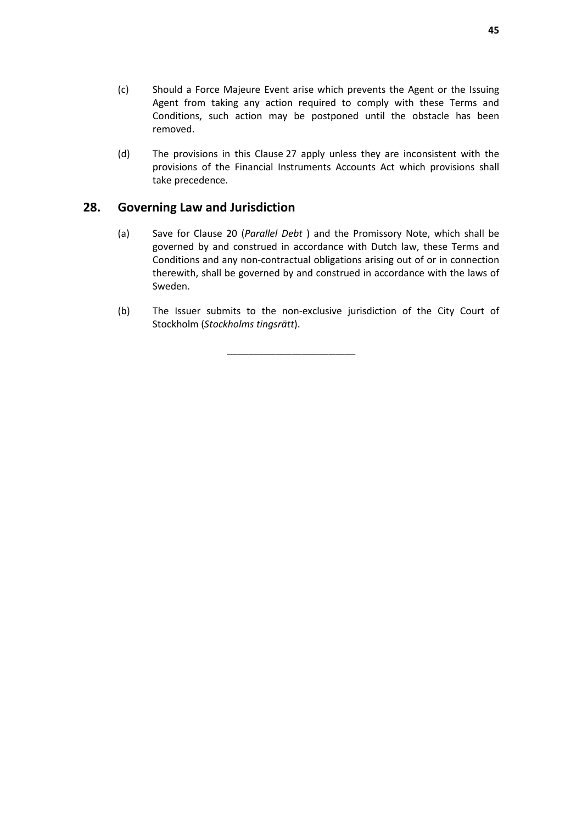- (c) Should a Force Majeure Event arise which prevents the Agent or the Issuing Agent from taking any action required to comply with these Terms and Conditions, such action may be postponed until the obstacle has been removed.
- (d) The provisions in this Clause 27 apply unless they are inconsistent with the provisions of the Financial Instruments Accounts Act which provisions shall take precedence.

## **28. Governing Law and Jurisdiction**

- (a) Save for Clause 20 (*Parallel Debt* ) and the Promissory Note, which shall be governed by and construed in accordance with Dutch law, these Terms and Conditions and any non-contractual obligations arising out of or in connection therewith, shall be governed by and construed in accordance with the laws of Sweden.
- (b) The Issuer submits to the non-exclusive jurisdiction of the City Court of Stockholm (*Stockholms tingsrätt*).

\_\_\_\_\_\_\_\_\_\_\_\_\_\_\_\_\_\_\_\_\_\_\_\_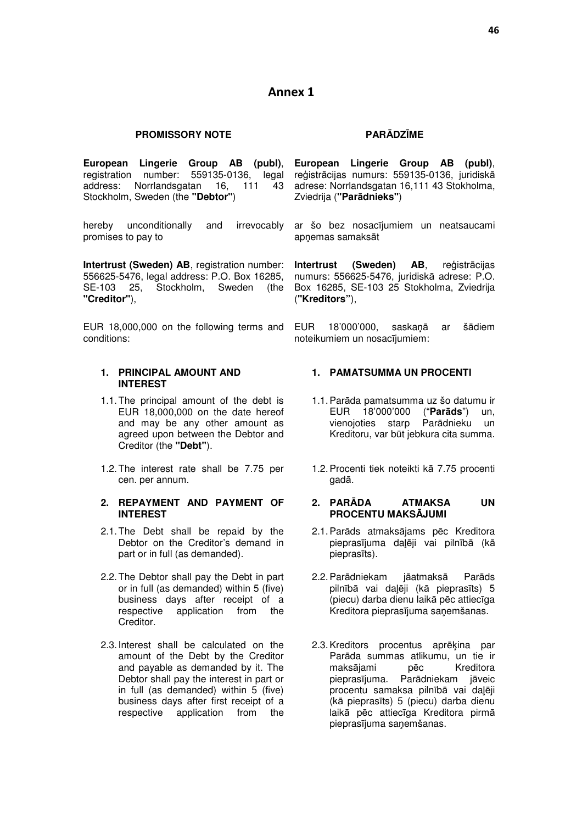## **Annex 1**

#### **PROMISSORY NOTE**

**European Lingerie Group AB (publ)**, registration number: 559135-0136, legal address: Norrlandsgatan 16, 111 43 Stockholm, Sweden (the **"Debtor"**)

hereby unconditionally and irrevocably promises to pay to

**Intertrust (Sweden) AB**, registration number: 556625-5476, legal address: P.O. Box 16285, SE-103 25, Stockholm, Sweden (the **"Creditor"**),

EUR 18,000,000 on the following terms and conditions:

#### **1. PRINCIPAL AMOUNT AND INTEREST**

- 1.1. The principal amount of the debt is EUR 18,000,000 on the date hereof and may be any other amount as agreed upon between the Debtor and Creditor (the **"Debt"**).
- 1.2. The interest rate shall be 7.75 per cen. per annum.

#### **2. REPAYMENT AND PAYMENT OF INTEREST**

- 2.1. The Debt shall be repaid by the Debtor on the Creditor's demand in part or in full (as demanded).
- 2.2. The Debtor shall pay the Debt in part or in full (as demanded) within 5 (five) business days after receipt of a respective application from the Creditor.
- 2.3. Interest shall be calculated on the amount of the Debt by the Creditor and payable as demanded by it. The Debtor shall pay the interest in part or in full (as demanded) within 5 (five) business days after first receipt of a respective application from the

#### **PARĀDZĪME**

**European Lingerie Group AB (publ)**, reģistrācijas numurs: 559135-0136, juridiskā adrese: Norrlandsgatan 16,111 43 Stokholma, Zviedrija (**"Parādnieks"**)

ar šo bez nosacījumiem un neatsaucami apnemas samaksāt

**Intertrust (Sweden) AB**, reģistrācijas numurs: 556625-5476, juridiskā adrese: P.O. Box 16285, SE-103 25 Stokholma, Zviedrija (**"Kreditors"**),

EUR 18'000'000, saskaņā ar šādiem noteikumiem un nosacījumiem:

#### **1. PAMATSUMMA UN PROCENTI**

- 1.1. Parāda pamatsumma uz šo datumu ir EUR 18'000'000 ("**Parāds**") un, vienojoties starp Parādnieku un Kreditoru, var būt jebkura cita summa.
- 1.2. Procenti tiek noteikti kā 7.75 procenti gadā.

#### **2. PARĀDA ATMAKSA UN PROCENTU MAKSĀJUMI**

- 2.1. Parāds atmaksājams pēc Kreditora pieprasījuma daļēji vai pilnībā (kā pieprasīts).
- 2.2. Parādniekam jāatmaksā Parāds pilnībā vai daļēji (kā pieprasīts) 5 (piecu) darba dienu laikā pēc attiecīga Kreditora pieprasījuma saņemšanas.
- 2.3. Kreditors procentus aprēķina par Parāda summas atlikumu, un tie ir maksājami pēc Kreditora pieprasījuma. Parādniekam jāveic procentu samaksa pilnībā vai daļēji (kā pieprasīts) 5 (piecu) darba dienu laikā pēc attiecīga Kreditora pirmā pieprasījuma saņemšanas.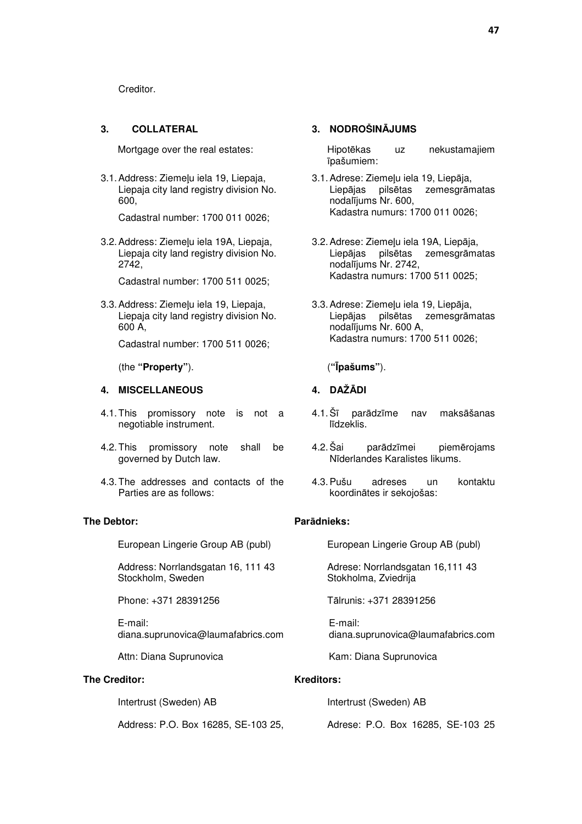Creditor.

#### **3. COLLATERAL 3. NODROŠINĀJUMS**

3.1. Address: Ziemeļu iela 19. Liepaja, Liepaja city land registry division No. 600,

Cadastral number: 1700 011 0026;

3.2. Address: Ziemeļu iela 19A, Liepaja, Liepaja city land registry division No. 2742,

Cadastral number: 1700 511 0025;

3.3. Address: Ziemeļu iela 19, Liepaja, Liepaja city land registry division No. 600 A,

Cadastral number: 1700 511 0026;

(the **"Property"**). (**"Īpašums"**).

#### **4. MISCELLANEOUS 4. DAŽĀDI**

- 4.1. This promissory note is not a negotiable instrument.
- 4.2. This promissory note shall be governed by Dutch law.
- 4.3. The addresses and contacts of the Parties are as follows:

#### **The Debtor:**

European Lingerie Group AB (publ)

Address: Norrlandsgatan 16, 111 43 Stockholm, Sweden

Phone: +371 28391256

E-mail: diana.suprunovica@laumafabrics.com

Attn: Diana Suprunovica

#### **The Creditor:**

Intertrust (Sweden) AB

Address: P.O. Box 16285, SE-103 25,

Mortgage over the real estates: The Hipotēkas uz nekustamajiem īpašumiem:

- 3.1. Adrese: Ziemeļu iela 19. Liepāja. Liepājas pilsētas zemesgrāmatas nodalījums Nr. 600, Kadastra numurs: 1700 011 0026;
- 3.2. Adrese: Ziemeļu iela 19A, Liepāja, Liepājas pilsētas zemesgrāmatas nodalījums Nr. 2742, Kadastra numurs: 1700 511 0025;
- 3.3. Adrese: Ziemeļu iela 19, Liepāja, Liepājas pilsētas zemesgrāmatas nodalījums Nr. 600 A, Kadastra numurs: 1700 511 0026;

- 4.1. Šī parādzīme nav maksāšanas līdzeklis.
- 4.2. Šai parādzīmei piemērojams Nīderlandes Karalistes likums.
- 4.3. Pušu adreses un kontaktu koordinātes ir sekojošas:

## **Parādnieks:**

European Lingerie Group AB (publ)

Adrese: Norrlandsgatan 16,111 43 Stokholma, Zviedrija

Tālrunis: +371 28391256

E-mail: diana.suprunovica@laumafabrics.com

Kam: Diana Suprunovica

#### **Kreditors:**

Intertrust (Sweden) AB Adrese: P.O. Box 16285, SE-103 25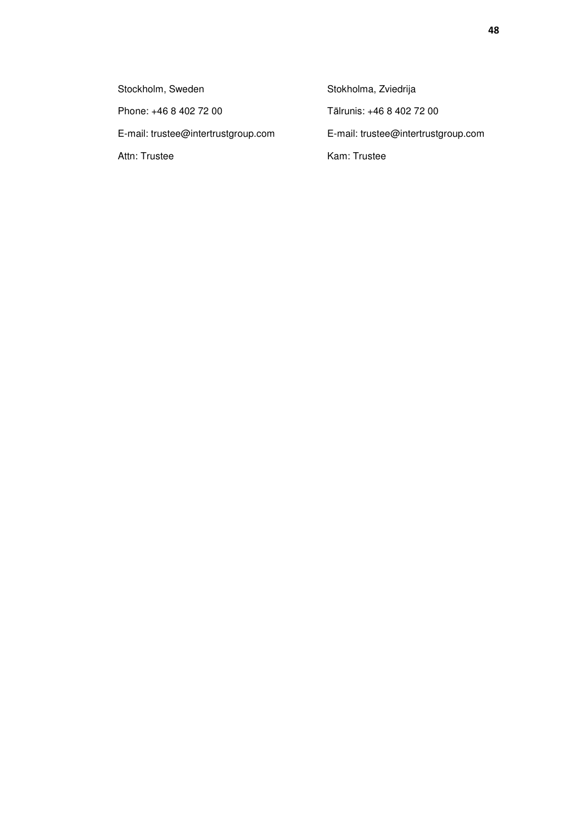Stockholm, Sweden Phone: +46 8 402 72 00 E-mail: trustee@intertrustgroup.com Attn: Trustee

Stokholma, Zviedrija Tālrunis: +46 8 402 72 00 E-mail: trustee@intertrustgroup.com Kam: Trustee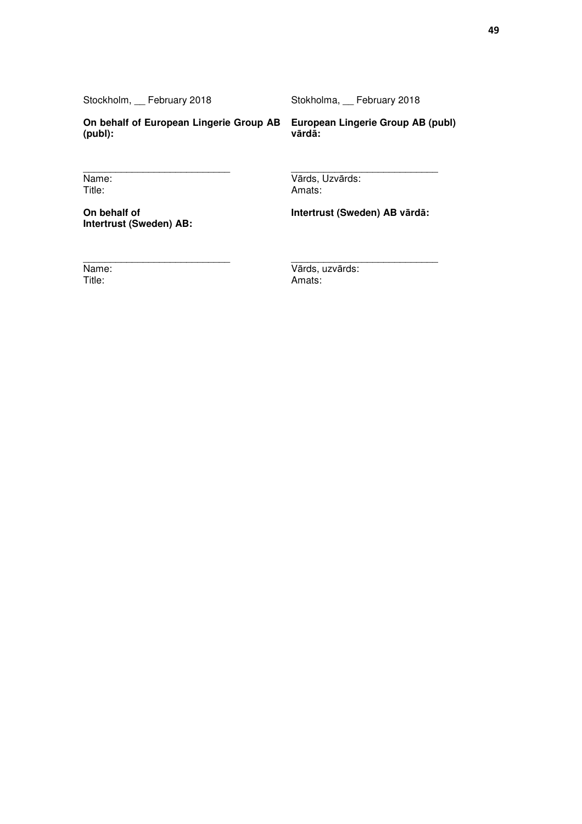Stockholm, \_\_ February 2018

 $\overline{\phantom{a}}$  , and the set of the set of the set of the set of the set of the set of the set of the set of the set of the set of the set of the set of the set of the set of the set of the set of the set of the set of the s

 $\overline{\phantom{a}}$  , where  $\overline{\phantom{a}}$  , where  $\overline{\phantom{a}}$  , where  $\overline{\phantom{a}}$  , where  $\overline{\phantom{a}}$ 

Stokholma, \_\_ February 2018

**On behalf of European Lingerie Group AB European Lingerie Group AB (publ) (publ):** 

**vārdā:** 

Name: Title:

**On behalf of Intertrust (Sweden) AB:**  Amats:

**Intertrust (Sweden) AB vārdā:** 

 $\frac{1}{2}$  ,  $\frac{1}{2}$  ,  $\frac{1}{2}$  ,  $\frac{1}{2}$  ,  $\frac{1}{2}$  ,  $\frac{1}{2}$  ,  $\frac{1}{2}$  ,  $\frac{1}{2}$  ,  $\frac{1}{2}$  ,  $\frac{1}{2}$  ,  $\frac{1}{2}$  ,  $\frac{1}{2}$  ,  $\frac{1}{2}$  ,  $\frac{1}{2}$  ,  $\frac{1}{2}$  ,  $\frac{1}{2}$  ,  $\frac{1}{2}$  ,  $\frac{1}{2}$  ,  $\frac{1$ 

Name:

Title:

 $\overline{\phantom{a}}$  , where  $\overline{\phantom{a}}$  , where  $\overline{\phantom{a}}$  , where  $\overline{\phantom{a}}$ Vārds, uzvārds: Amats:

Vārds, Uzvārds: